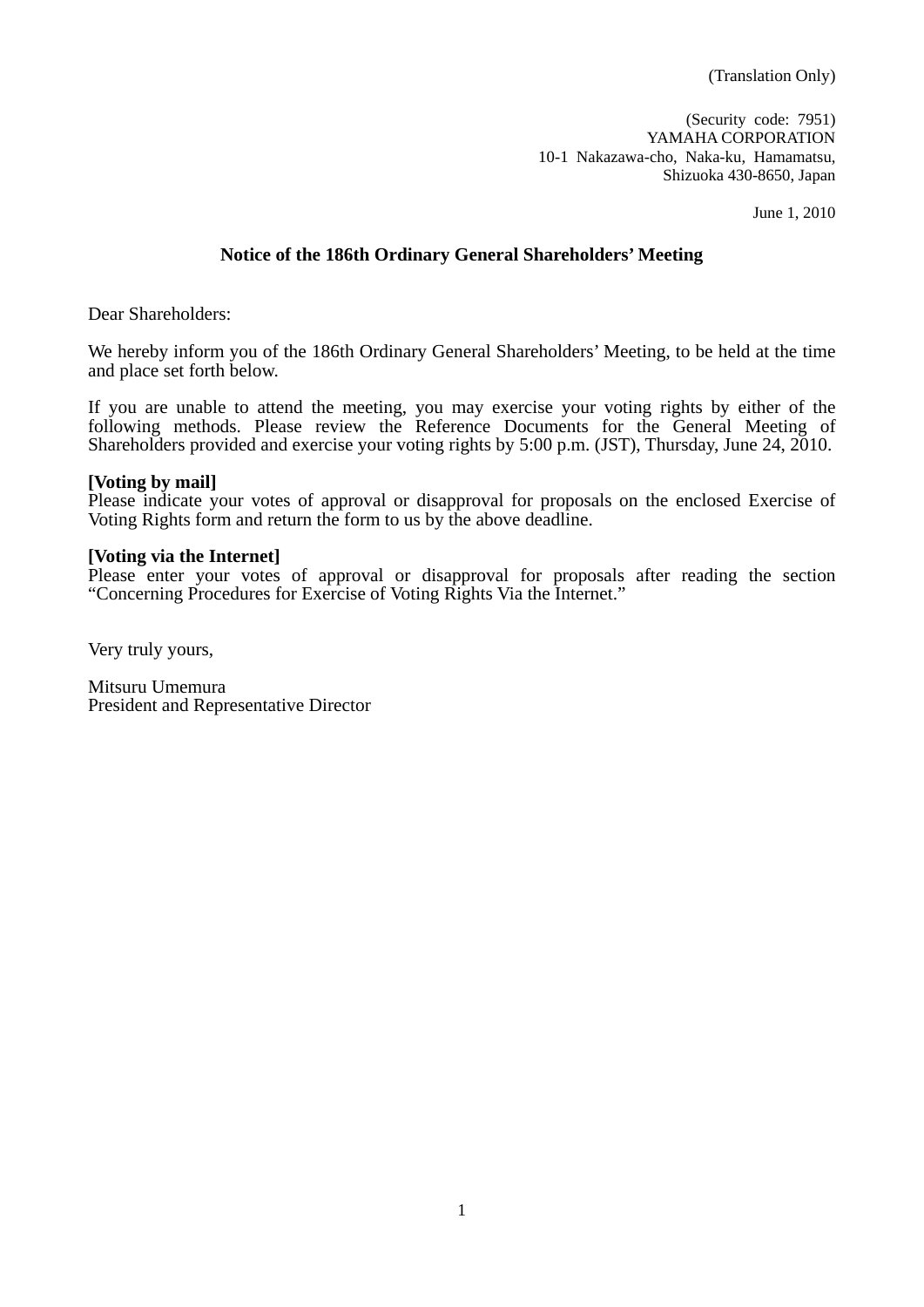(Security code: 7951) YAMAHA CORPORATION 10-1 Nakazawa-cho, Naka-ku, Hamamatsu, Shizuoka 430-8650, Japan

June 1, 2010

## **Notice of the 186th Ordinary General Shareholders' Meeting**

Dear Shareholders:

We hereby inform you of the 186th Ordinary General Shareholders' Meeting, to be held at the time and place set forth below.

If you are unable to attend the meeting, you may exercise your voting rights by either of the following methods. Please review the Reference Documents for the General Meeting of Shareholders provided and exercise your voting rights by 5:00 p.m. (JST), Thursday, June 24, 2010.

#### **[Voting by mail]**

Please indicate your votes of approval or disapproval for proposals on the enclosed Exercise of Voting Rights form and return the form to us by the above deadline.

#### **[Voting via the Internet]**

Please enter your votes of approval or disapproval for proposals after reading the section "Concerning Procedures for Exercise of Voting Rights Via the Internet."

Very truly yours,

Mitsuru Umemura President and Representative Director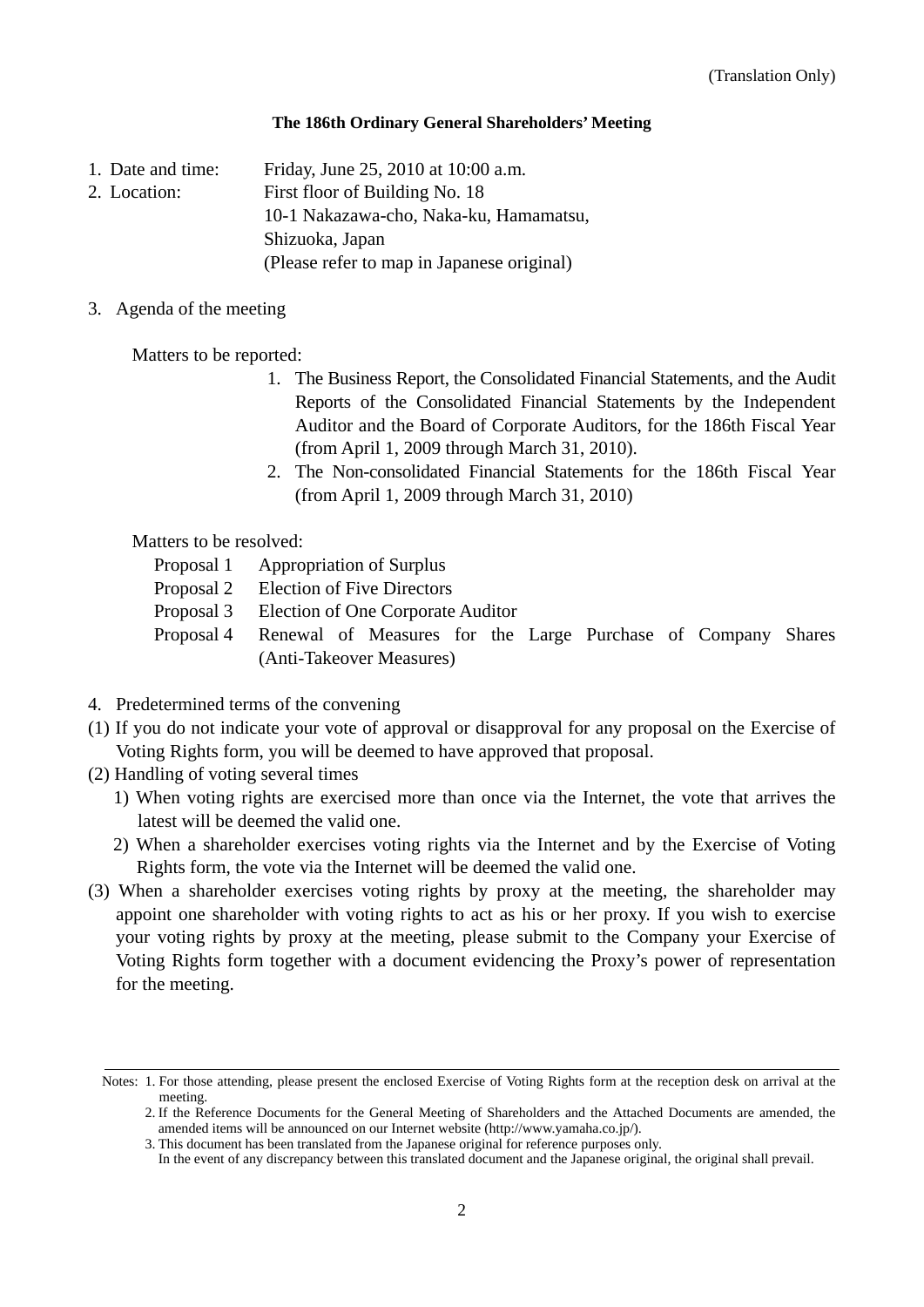## **The 186th Ordinary General Shareholders' Meeting**

1. Date and time: Friday, June 25, 2010 at 10:00 a.m.

2. Location: First floor of Building No. 18 10-1 Nakazawa-cho, Naka-ku, Hamamatsu,

Shizuoka, Japan

(Please refer to map in Japanese original)

3. Agenda of the meeting

Matters to be reported:

- 1. The Business Report, the Consolidated Financial Statements, and the Audit Reports of the Consolidated Financial Statements by the Independent Auditor and the Board of Corporate Auditors, for the 186th Fiscal Year (from April 1, 2009 through March 31, 2010).
- 2. The Non-consolidated Financial Statements for the 186th Fiscal Year (from April 1, 2009 through March 31, 2010)

Matters to be resolved:

- Proposal 1 Appropriation of Surplus
- Proposal 2 Election of Five Directors
- Proposal 3 Election of One Corporate Auditor
- Proposal 4 Renewal of Measures for the Large Purchase of Company Shares (Anti-Takeover Measures)
- 4. Predetermined terms of the convening
- (1) If you do not indicate your vote of approval or disapproval for any proposal on the Exercise of Voting Rights form, you will be deemed to have approved that proposal.
- (2) Handling of voting several times
	- 1) When voting rights are exercised more than once via the Internet, the vote that arrives the latest will be deemed the valid one.
	- 2) When a shareholder exercises voting rights via the Internet and by the Exercise of Voting Rights form, the vote via the Internet will be deemed the valid one.
- (3) When a shareholder exercises voting rights by proxy at the meeting, the shareholder may appoint one shareholder with voting rights to act as his or her proxy. If you wish to exercise your voting rights by proxy at the meeting, please submit to the Company your Exercise of Voting Rights form together with a document evidencing the Proxy's power of representation for the meeting.

Notes: 1. For those attending, please present the enclosed Exercise of Voting Rights form at the reception desk on arrival at the meeting.

<sup>2.</sup> If the Reference Documents for the General Meeting of Shareholders and the Attached Documents are amended, the amended items will be announced on our Internet website (http://www.yamaha.co.jp/).

<sup>3.</sup> This document has been translated from the Japanese original for reference purposes only.

In the event of any discrepancy between this translated document and the Japanese original, the original shall prevail.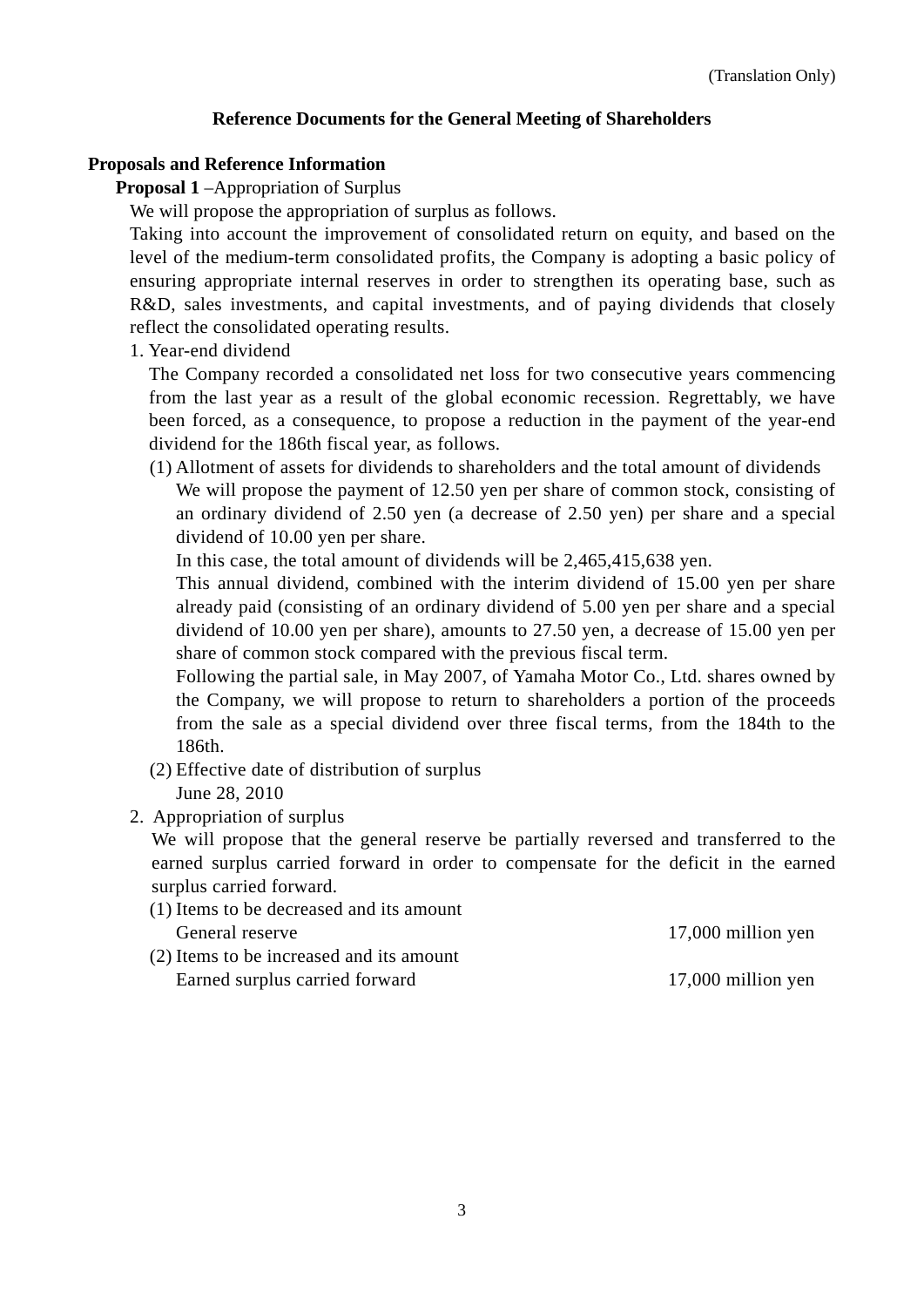## **Reference Documents for the General Meeting of Shareholders**

## **Proposals and Reference Information**

**Proposal 1** –Appropriation of Surplus

We will propose the appropriation of surplus as follows.

Taking into account the improvement of consolidated return on equity, and based on the level of the medium-term consolidated profits, the Company is adopting a basic policy of ensuring appropriate internal reserves in order to strengthen its operating base, such as R&D, sales investments, and capital investments, and of paying dividends that closely reflect the consolidated operating results.

1. Year-end dividend

 The Company recorded a consolidated net loss for two consecutive years commencing from the last year as a result of the global economic recession. Regrettably, we have been forced, as a consequence, to propose a reduction in the payment of the year-end dividend for the 186th fiscal year, as follows.

(1) Allotment of assets for dividends to shareholders and the total amount of dividends

We will propose the payment of 12.50 yen per share of common stock, consisting of an ordinary dividend of 2.50 yen (a decrease of 2.50 yen) per share and a special dividend of 10.00 yen per share.

In this case, the total amount of dividends will be 2,465,415,638 yen.

This annual dividend, combined with the interim dividend of 15.00 yen per share already paid (consisting of an ordinary dividend of 5.00 yen per share and a special dividend of 10.00 yen per share), amounts to 27.50 yen, a decrease of 15.00 yen per share of common stock compared with the previous fiscal term.

Following the partial sale, in May 2007, of Yamaha Motor Co., Ltd. shares owned by the Company, we will propose to return to shareholders a portion of the proceeds from the sale as a special dividend over three fiscal terms, from the 184th to the 186th.

(2) Effective date of distribution of surplus

June 28, 2010

2. Appropriation of surplus

We will propose that the general reserve be partially reversed and transferred to the earned surplus carried forward in order to compensate for the deficit in the earned surplus carried forward.

(1) Items to be decreased and its amount General reserve 17,000 million yen (2) Items to be increased and its amount Earned surplus carried forward 17,000 million yen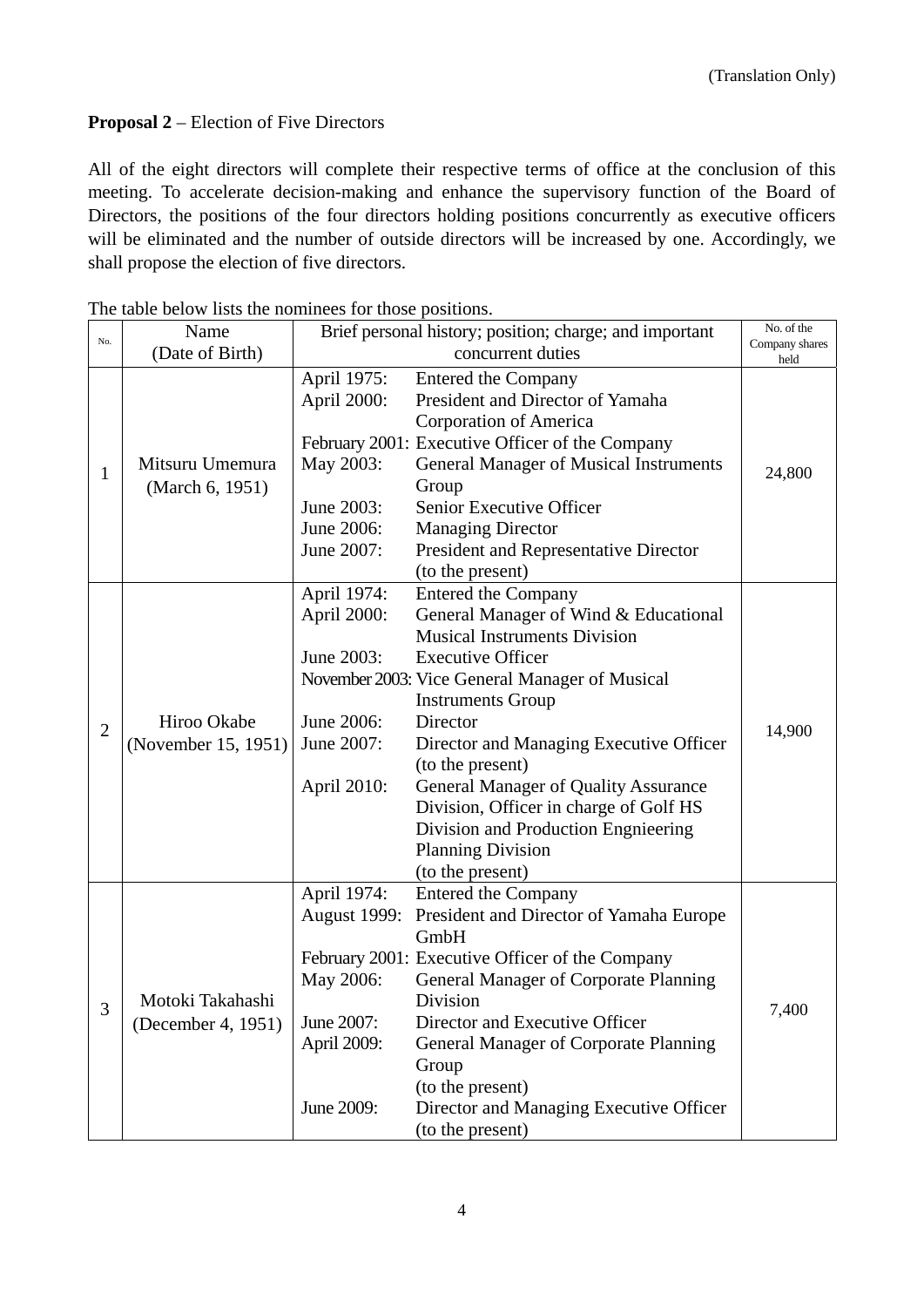# **Proposal 2** – Election of Five Directors

All of the eight directors will complete their respective terms of office at the conclusion of this meeting. To accelerate decision-making and enhance the supervisory function of the Board of Directors, the positions of the four directors holding positions concurrently as executive officers will be eliminated and the number of outside directors will be increased by one. Accordingly, we shall propose the election of five directors.

| No.          | Name                | Brief personal history; position; charge; and important |                                                 | No. of the             |
|--------------|---------------------|---------------------------------------------------------|-------------------------------------------------|------------------------|
|              | (Date of Birth)     |                                                         | concurrent duties                               | Company shares<br>held |
| 1            |                     | April 1975:                                             | <b>Entered the Company</b>                      |                        |
|              |                     | April 2000:                                             | President and Director of Yamaha                |                        |
|              |                     |                                                         | Corporation of America                          |                        |
|              |                     |                                                         | February 2001: Executive Officer of the Company |                        |
|              | Mitsuru Umemura     | May 2003:                                               | <b>General Manager of Musical Instruments</b>   |                        |
|              | (March 6, 1951)     |                                                         | Group                                           | 24,800                 |
|              |                     | June 2003:                                              | Senior Executive Officer                        |                        |
|              |                     | June 2006:                                              | <b>Managing Director</b>                        |                        |
|              |                     | June 2007:                                              | <b>President and Representative Director</b>    |                        |
|              |                     |                                                         | (to the present)                                |                        |
|              |                     | April 1974:                                             | <b>Entered the Company</b>                      |                        |
|              |                     | April 2000:                                             | General Manager of Wind & Educational           |                        |
|              |                     |                                                         | <b>Musical Instruments Division</b>             |                        |
|              |                     | June 2003:                                              | <b>Executive Officer</b>                        |                        |
|              |                     |                                                         | November 2003: Vice General Manager of Musical  |                        |
|              |                     |                                                         | <b>Instruments Group</b>                        |                        |
| $\mathbf{2}$ | Hiroo Okabe         | June 2006:                                              | Director                                        | 14,900                 |
|              | (November 15, 1951) | June 2007:                                              | Director and Managing Executive Officer         |                        |
|              |                     |                                                         | (to the present)                                |                        |
|              |                     | April 2010:                                             | <b>General Manager of Quality Assurance</b>     |                        |
|              |                     |                                                         | Division, Officer in charge of Golf HS          |                        |
|              |                     |                                                         | Division and Production Engnieering             |                        |
|              |                     |                                                         | <b>Planning Division</b>                        |                        |
|              |                     |                                                         | (to the present)                                |                        |
|              |                     | April 1974:                                             | <b>Entered the Company</b>                      |                        |
|              |                     | <b>August 1999:</b>                                     | President and Director of Yamaha Europe         |                        |
|              |                     |                                                         | GmbH                                            |                        |
|              |                     |                                                         | February 2001: Executive Officer of the Company |                        |
|              |                     | May 2006:                                               | General Manager of Corporate Planning           |                        |
| 3            | Motoki Takahashi    |                                                         | Division                                        | 7,400                  |
|              | (December 4, 1951)  | June 2007:                                              | Director and Executive Officer                  |                        |
|              |                     | April 2009:                                             | <b>General Manager of Corporate Planning</b>    |                        |
|              |                     |                                                         | Group                                           |                        |
|              |                     |                                                         | (to the present)                                |                        |
|              |                     | June 2009:                                              | Director and Managing Executive Officer         |                        |
|              |                     |                                                         | (to the present)                                |                        |

The table below lists the nominees for those positions.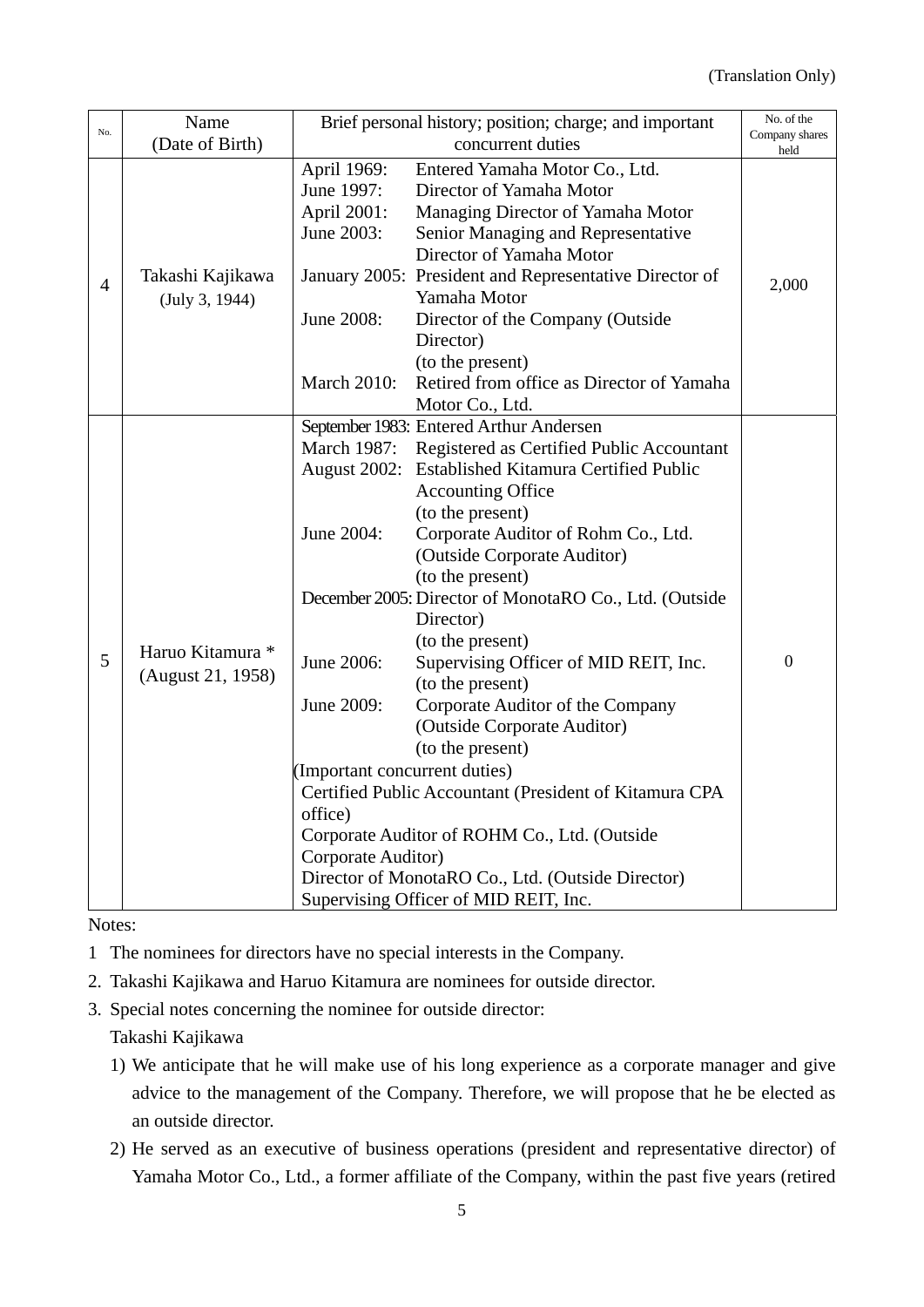|     | Name                                  | Brief personal history; position; charge; and important |                                                        | No. of the             |
|-----|---------------------------------------|---------------------------------------------------------|--------------------------------------------------------|------------------------|
| No. | (Date of Birth)                       | concurrent duties                                       |                                                        | Company shares<br>held |
| 4   | Takashi Kajikawa                      | April 1969:                                             | Entered Yamaha Motor Co., Ltd.                         |                        |
|     |                                       | June 1997:                                              | Director of Yamaha Motor                               |                        |
|     |                                       | April 2001:                                             | Managing Director of Yamaha Motor                      |                        |
|     |                                       | June 2003:                                              | Senior Managing and Representative                     |                        |
|     |                                       |                                                         | Director of Yamaha Motor                               |                        |
|     |                                       |                                                         | January 2005: President and Representative Director of | 2,000                  |
|     | (July 3, 1944)                        |                                                         | Yamaha Motor                                           |                        |
|     |                                       | June 2008:                                              | Director of the Company (Outside                       |                        |
|     |                                       |                                                         | Director)                                              |                        |
|     |                                       |                                                         | (to the present)                                       |                        |
|     |                                       | <b>March 2010:</b>                                      | Retired from office as Director of Yamaha              |                        |
|     |                                       |                                                         | Motor Co., Ltd.                                        |                        |
|     |                                       |                                                         | September 1983: Entered Arthur Andersen                |                        |
|     |                                       | March 1987:                                             | Registered as Certified Public Accountant              |                        |
|     |                                       | August 2002:                                            | <b>Established Kitamura Certified Public</b>           |                        |
|     |                                       |                                                         | <b>Accounting Office</b>                               |                        |
|     |                                       |                                                         | (to the present)                                       |                        |
|     |                                       | June 2004:                                              | Corporate Auditor of Rohm Co., Ltd.                    |                        |
|     |                                       |                                                         | (Outside Corporate Auditor)                            |                        |
|     |                                       |                                                         | (to the present)                                       |                        |
|     |                                       | December 2005: Director of MonotaRO Co., Ltd. (Outside  |                                                        |                        |
|     | Haruo Kitamura *<br>(August 21, 1958) |                                                         | Director)                                              |                        |
|     |                                       |                                                         | (to the present)                                       |                        |
| 5   |                                       | June 2006:                                              | Supervising Officer of MID REIT, Inc.                  | $\boldsymbol{0}$       |
|     |                                       |                                                         | (to the present)                                       |                        |
|     |                                       | June 2009:                                              | Corporate Auditor of the Company                       |                        |
|     |                                       |                                                         | (Outside Corporate Auditor)                            |                        |
|     |                                       |                                                         | (to the present)                                       |                        |
|     |                                       | (Important concurrent duties)                           |                                                        |                        |
|     |                                       | Certified Public Accountant (President of Kitamura CPA  |                                                        |                        |
|     |                                       | office)                                                 |                                                        |                        |
|     |                                       | Corporate Auditor of ROHM Co., Ltd. (Outside            |                                                        |                        |
|     |                                       | Corporate Auditor)                                      |                                                        |                        |
|     |                                       | Director of MonotaRO Co., Ltd. (Outside Director)       |                                                        |                        |
|     |                                       |                                                         | Supervising Officer of MID REIT, Inc.                  |                        |

Notes:

- 1 The nominees for directors have no special interests in the Company.
- 2. Takashi Kajikawa and Haruo Kitamura are nominees for outside director.
- 3. Special notes concerning the nominee for outside director: Takashi Kajikawa
	- 1) We anticipate that he will make use of his long experience as a corporate manager and give advice to the management of the Company. Therefore, we will propose that he be elected as an outside director.
	- 2) He served as an executive of business operations (president and representative director) of Yamaha Motor Co., Ltd., a former affiliate of the Company, within the past five years (retired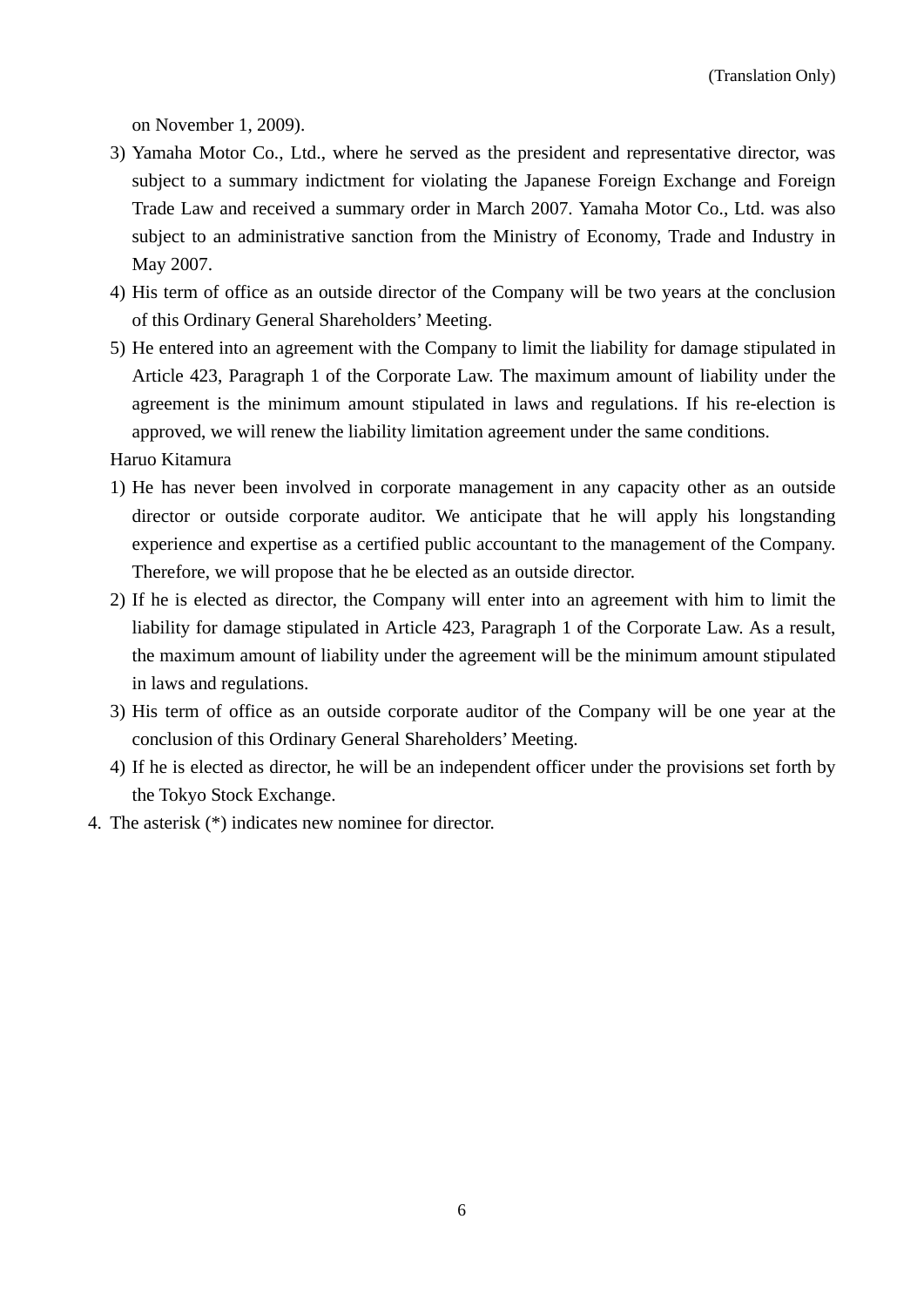on November 1, 2009).

- 3) Yamaha Motor Co., Ltd., where he served as the president and representative director, was subject to a summary indictment for violating the Japanese Foreign Exchange and Foreign Trade Law and received a summary order in March 2007. Yamaha Motor Co., Ltd. was also subject to an administrative sanction from the Ministry of Economy, Trade and Industry in May 2007.
- 4) His term of office as an outside director of the Company will be two years at the conclusion of this Ordinary General Shareholders' Meeting.
- 5) He entered into an agreement with the Company to limit the liability for damage stipulated in Article 423, Paragraph 1 of the Corporate Law. The maximum amount of liability under the agreement is the minimum amount stipulated in laws and regulations. If his re-election is approved, we will renew the liability limitation agreement under the same conditions.

Haruo Kitamura

- 1) He has never been involved in corporate management in any capacity other as an outside director or outside corporate auditor. We anticipate that he will apply his longstanding experience and expertise as a certified public accountant to the management of the Company. Therefore, we will propose that he be elected as an outside director.
- 2) If he is elected as director, the Company will enter into an agreement with him to limit the liability for damage stipulated in Article 423, Paragraph 1 of the Corporate Law. As a result, the maximum amount of liability under the agreement will be the minimum amount stipulated in laws and regulations.
- 3) His term of office as an outside corporate auditor of the Company will be one year at the conclusion of this Ordinary General Shareholders' Meeting.
- 4) If he is elected as director, he will be an independent officer under the provisions set forth by the Tokyo Stock Exchange.
- 4. The asterisk (\*) indicates new nominee for director.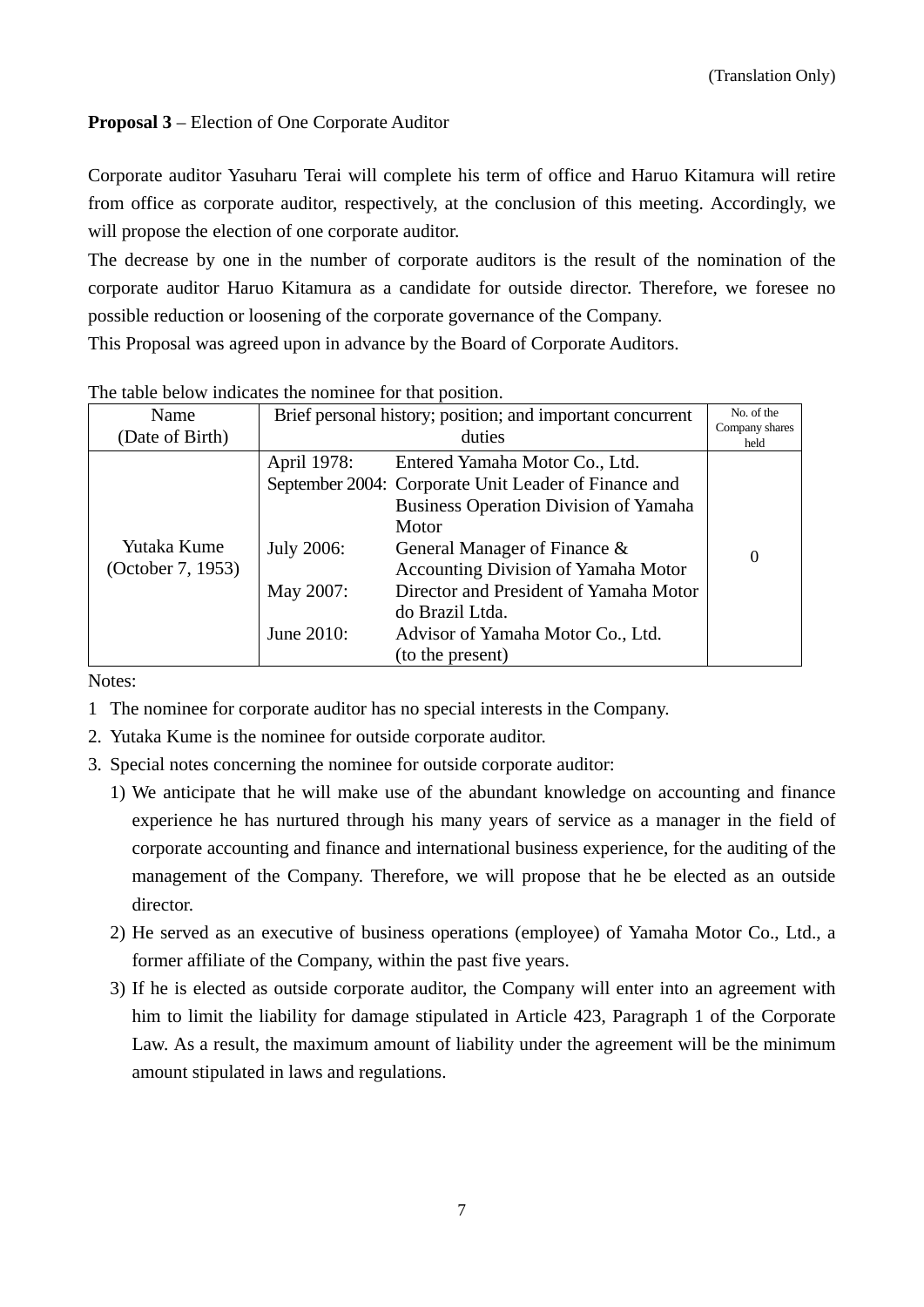# **Proposal 3** – Election of One Corporate Auditor

Corporate auditor Yasuharu Terai will complete his term of office and Haruo Kitamura will retire from office as corporate auditor, respectively, at the conclusion of this meeting. Accordingly, we will propose the election of one corporate auditor.

The decrease by one in the number of corporate auditors is the result of the nomination of the corporate auditor Haruo Kitamura as a candidate for outside director. Therefore, we foresee no possible reduction or loosening of the corporate governance of the Company.

This Proposal was agreed upon in advance by the Board of Corporate Auditors.

| no more coro a migremos mo hommoo for mai positiom |                                                            |                                                      |                              |
|----------------------------------------------------|------------------------------------------------------------|------------------------------------------------------|------------------------------|
| Name                                               | Brief personal history; position; and important concurrent |                                                      | No. of the<br>Company shares |
| (Date of Birth)                                    |                                                            | duties                                               | held                         |
|                                                    | April 1978:                                                | Entered Yamaha Motor Co., Ltd.                       |                              |
|                                                    |                                                            | September 2004: Corporate Unit Leader of Finance and |                              |
|                                                    |                                                            | <b>Business Operation Division of Yamaha</b>         |                              |
|                                                    |                                                            | Motor                                                |                              |
| Yutaka Kume                                        | July 2006:                                                 | General Manager of Finance &                         |                              |
| (October 7, 1953)                                  |                                                            | Accounting Division of Yamaha Motor                  |                              |
|                                                    | May 2007:                                                  | Director and President of Yamaha Motor               |                              |
|                                                    |                                                            | do Brazil Ltda.                                      |                              |
|                                                    | June 2010:                                                 | Advisor of Yamaha Motor Co., Ltd.                    |                              |
|                                                    |                                                            | (to the present)                                     |                              |

The table below indicates the nominee for that position.

Notes:

- 1 The nominee for corporate auditor has no special interests in the Company.
- 2. Yutaka Kume is the nominee for outside corporate auditor.
- 3. Special notes concerning the nominee for outside corporate auditor:
	- 1) We anticipate that he will make use of the abundant knowledge on accounting and finance experience he has nurtured through his many years of service as a manager in the field of corporate accounting and finance and international business experience, for the auditing of the management of the Company. Therefore, we will propose that he be elected as an outside director.
	- 2) He served as an executive of business operations (employee) of Yamaha Motor Co., Ltd., a former affiliate of the Company, within the past five years.
	- 3) If he is elected as outside corporate auditor, the Company will enter into an agreement with him to limit the liability for damage stipulated in Article 423, Paragraph 1 of the Corporate Law. As a result, the maximum amount of liability under the agreement will be the minimum amount stipulated in laws and regulations.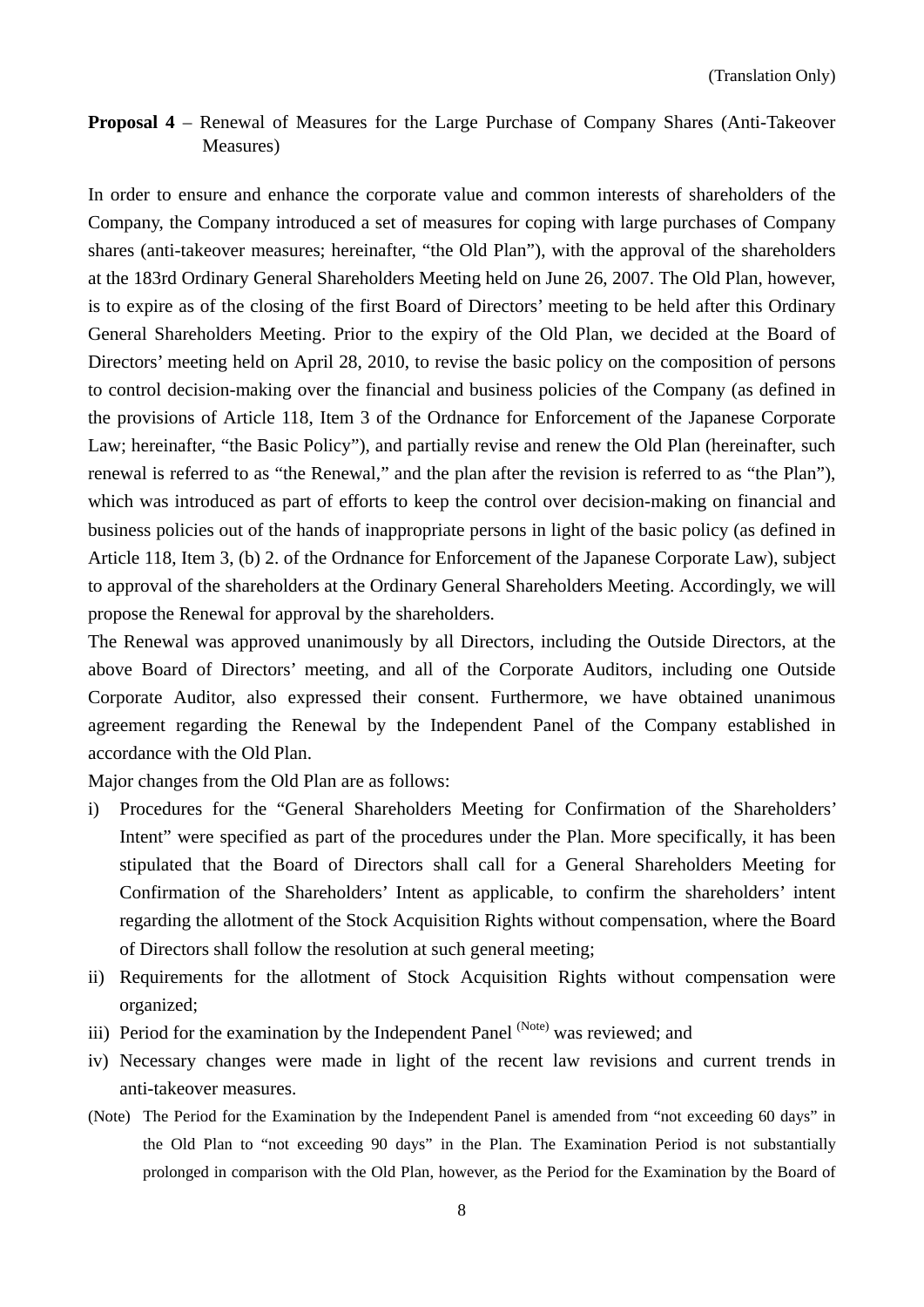**Proposal 4** – Renewal of Measures for the Large Purchase of Company Shares (Anti-Takeover Measures)

In order to ensure and enhance the corporate value and common interests of shareholders of the Company, the Company introduced a set of measures for coping with large purchases of Company shares (anti-takeover measures; hereinafter, "the Old Plan"), with the approval of the shareholders at the 183rd Ordinary General Shareholders Meeting held on June 26, 2007. The Old Plan, however, is to expire as of the closing of the first Board of Directors' meeting to be held after this Ordinary General Shareholders Meeting. Prior to the expiry of the Old Plan, we decided at the Board of Directors' meeting held on April 28, 2010, to revise the basic policy on the composition of persons to control decision-making over the financial and business policies of the Company (as defined in the provisions of Article 118, Item 3 of the Ordnance for Enforcement of the Japanese Corporate Law; hereinafter, "the Basic Policy"), and partially revise and renew the Old Plan (hereinafter, such renewal is referred to as "the Renewal," and the plan after the revision is referred to as "the Plan"), which was introduced as part of efforts to keep the control over decision-making on financial and business policies out of the hands of inappropriate persons in light of the basic policy (as defined in Article 118, Item 3, (b) 2. of the Ordnance for Enforcement of the Japanese Corporate Law), subject to approval of the shareholders at the Ordinary General Shareholders Meeting. Accordingly, we will propose the Renewal for approval by the shareholders.

The Renewal was approved unanimously by all Directors, including the Outside Directors, at the above Board of Directors' meeting, and all of the Corporate Auditors, including one Outside Corporate Auditor, also expressed their consent. Furthermore, we have obtained unanimous agreement regarding the Renewal by the Independent Panel of the Company established in accordance with the Old Plan.

Major changes from the Old Plan are as follows:

- i) Procedures for the "General Shareholders Meeting for Confirmation of the Shareholders' Intent" were specified as part of the procedures under the Plan. More specifically, it has been stipulated that the Board of Directors shall call for a General Shareholders Meeting for Confirmation of the Shareholders' Intent as applicable, to confirm the shareholders' intent regarding the allotment of the Stock Acquisition Rights without compensation, where the Board of Directors shall follow the resolution at such general meeting;
- ii) Requirements for the allotment of Stock Acquisition Rights without compensation were organized;
- iii) Period for the examination by the Independent Panel (Note) was reviewed; and
- iv) Necessary changes were made in light of the recent law revisions and current trends in anti-takeover measures.
- (Note) The Period for the Examination by the Independent Panel is amended from "not exceeding 60 days" in the Old Plan to "not exceeding 90 days" in the Plan. The Examination Period is not substantially prolonged in comparison with the Old Plan, however, as the Period for the Examination by the Board of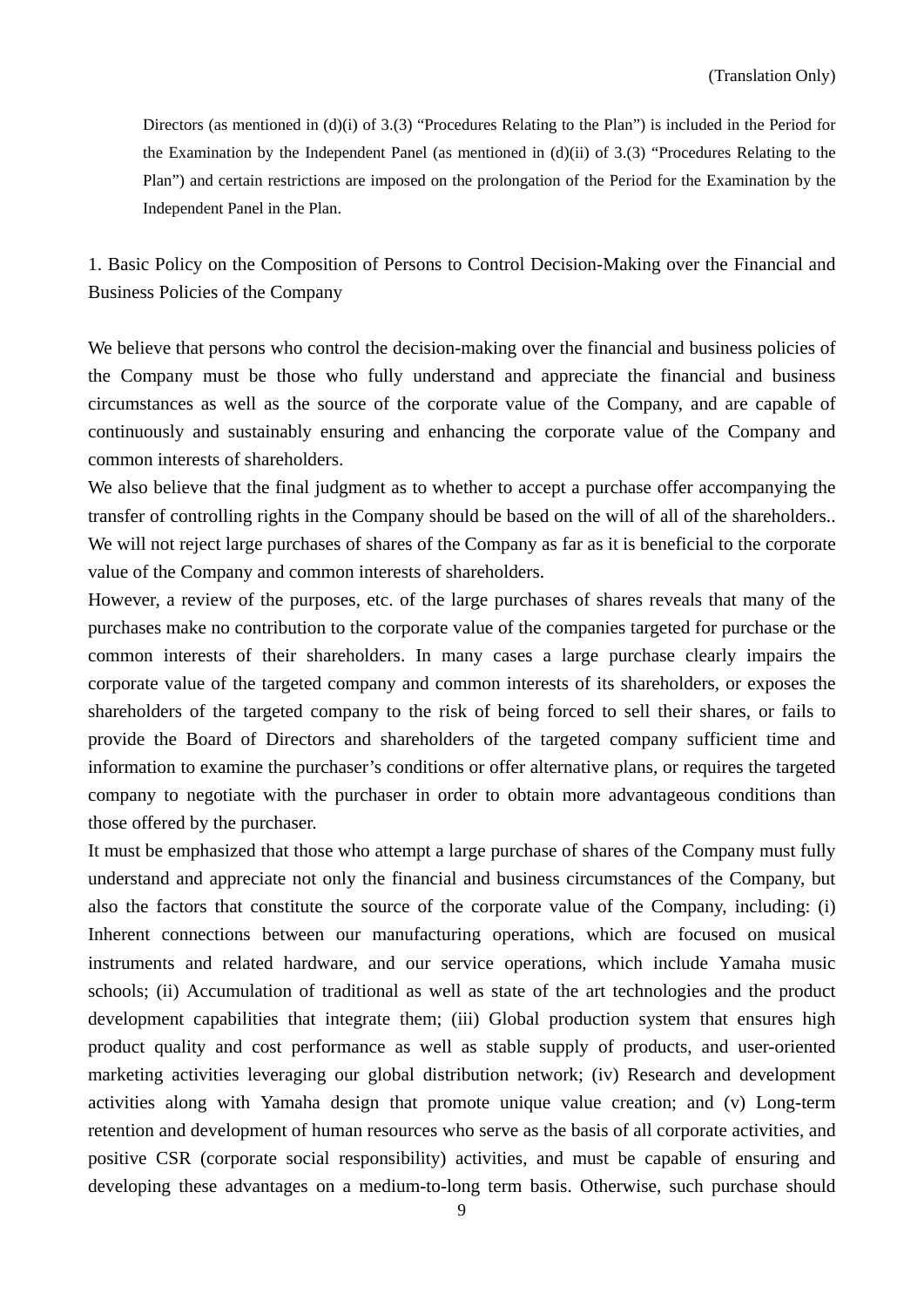Directors (as mentioned in (d)(i) of 3.(3) "Procedures Relating to the Plan") is included in the Period for the Examination by the Independent Panel (as mentioned in (d)(ii) of 3.(3) "Procedures Relating to the Plan") and certain restrictions are imposed on the prolongation of the Period for the Examination by the Independent Panel in the Plan.

1. Basic Policy on the Composition of Persons to Control Decision-Making over the Financial and Business Policies of the Company

We believe that persons who control the decision-making over the financial and business policies of the Company must be those who fully understand and appreciate the financial and business circumstances as well as the source of the corporate value of the Company, and are capable of continuously and sustainably ensuring and enhancing the corporate value of the Company and common interests of shareholders.

We also believe that the final judgment as to whether to accept a purchase offer accompanying the transfer of controlling rights in the Company should be based on the will of all of the shareholders.. We will not reject large purchases of shares of the Company as far as it is beneficial to the corporate value of the Company and common interests of shareholders.

However, a review of the purposes, etc. of the large purchases of shares reveals that many of the purchases make no contribution to the corporate value of the companies targeted for purchase or the common interests of their shareholders. In many cases a large purchase clearly impairs the corporate value of the targeted company and common interests of its shareholders, or exposes the shareholders of the targeted company to the risk of being forced to sell their shares, or fails to provide the Board of Directors and shareholders of the targeted company sufficient time and information to examine the purchaser's conditions or offer alternative plans, or requires the targeted company to negotiate with the purchaser in order to obtain more advantageous conditions than those offered by the purchaser.

It must be emphasized that those who attempt a large purchase of shares of the Company must fully understand and appreciate not only the financial and business circumstances of the Company, but also the factors that constitute the source of the corporate value of the Company, including: (i) Inherent connections between our manufacturing operations, which are focused on musical instruments and related hardware, and our service operations, which include Yamaha music schools; (ii) Accumulation of traditional as well as state of the art technologies and the product development capabilities that integrate them; (iii) Global production system that ensures high product quality and cost performance as well as stable supply of products, and user-oriented marketing activities leveraging our global distribution network; (iv) Research and development activities along with Yamaha design that promote unique value creation; and (v) Long-term retention and development of human resources who serve as the basis of all corporate activities, and positive CSR (corporate social responsibility) activities, and must be capable of ensuring and developing these advantages on a medium-to-long term basis. Otherwise, such purchase should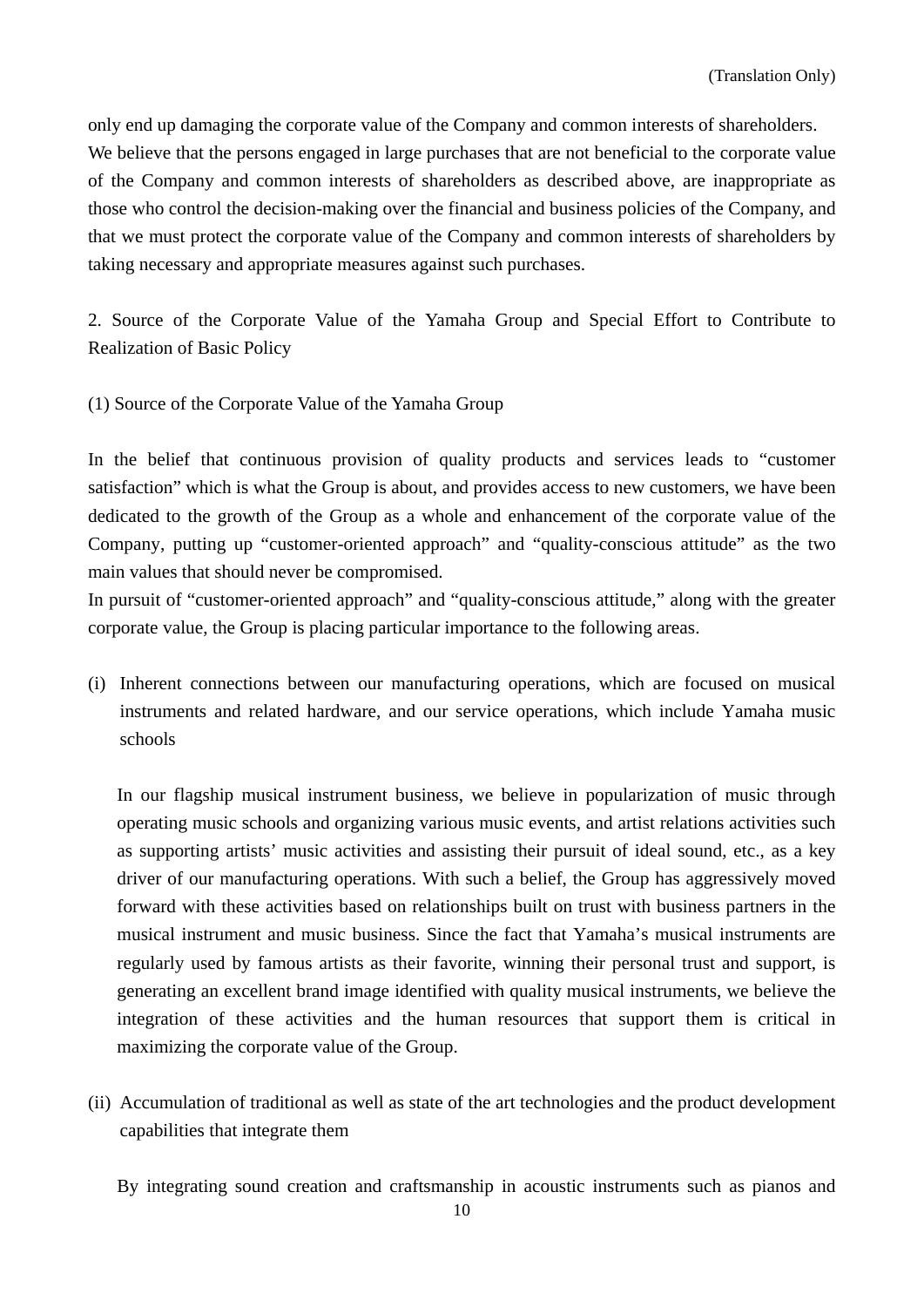only end up damaging the corporate value of the Company and common interests of shareholders. We believe that the persons engaged in large purchases that are not beneficial to the corporate value of the Company and common interests of shareholders as described above, are inappropriate as those who control the decision-making over the financial and business policies of the Company, and that we must protect the corporate value of the Company and common interests of shareholders by taking necessary and appropriate measures against such purchases.

2. Source of the Corporate Value of the Yamaha Group and Special Effort to Contribute to Realization of Basic Policy

(1) Source of the Corporate Value of the Yamaha Group

In the belief that continuous provision of quality products and services leads to "customer satisfaction" which is what the Group is about, and provides access to new customers, we have been dedicated to the growth of the Group as a whole and enhancement of the corporate value of the Company, putting up "customer-oriented approach" and "quality-conscious attitude" as the two main values that should never be compromised.

In pursuit of "customer-oriented approach" and "quality-conscious attitude," along with the greater corporate value, the Group is placing particular importance to the following areas.

(i) Inherent connections between our manufacturing operations, which are focused on musical instruments and related hardware, and our service operations, which include Yamaha music schools

In our flagship musical instrument business, we believe in popularization of music through operating music schools and organizing various music events, and artist relations activities such as supporting artists' music activities and assisting their pursuit of ideal sound, etc., as a key driver of our manufacturing operations. With such a belief, the Group has aggressively moved forward with these activities based on relationships built on trust with business partners in the musical instrument and music business. Since the fact that Yamaha's musical instruments are regularly used by famous artists as their favorite, winning their personal trust and support, is generating an excellent brand image identified with quality musical instruments, we believe the integration of these activities and the human resources that support them is critical in maximizing the corporate value of the Group.

(ii) Accumulation of traditional as well as state of the art technologies and the product development capabilities that integrate them

By integrating sound creation and craftsmanship in acoustic instruments such as pianos and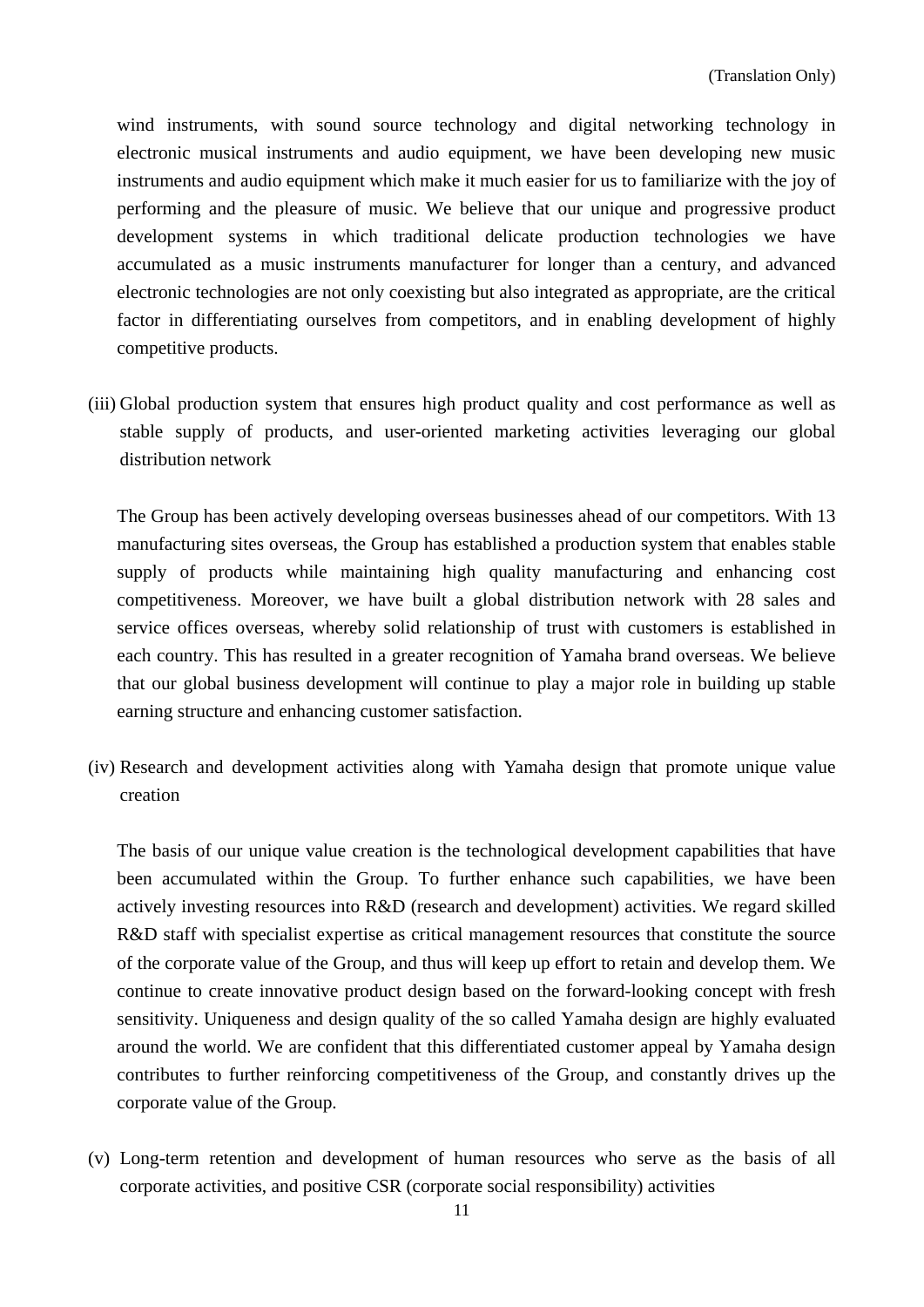wind instruments, with sound source technology and digital networking technology in electronic musical instruments and audio equipment, we have been developing new music instruments and audio equipment which make it much easier for us to familiarize with the joy of performing and the pleasure of music. We believe that our unique and progressive product development systems in which traditional delicate production technologies we have accumulated as a music instruments manufacturer for longer than a century, and advanced electronic technologies are not only coexisting but also integrated as appropriate, are the critical factor in differentiating ourselves from competitors, and in enabling development of highly competitive products.

(iii) Global production system that ensures high product quality and cost performance as well as stable supply of products, and user-oriented marketing activities leveraging our global distribution network

The Group has been actively developing overseas businesses ahead of our competitors. With 13 manufacturing sites overseas, the Group has established a production system that enables stable supply of products while maintaining high quality manufacturing and enhancing cost competitiveness. Moreover, we have built a global distribution network with 28 sales and service offices overseas, whereby solid relationship of trust with customers is established in each country. This has resulted in a greater recognition of Yamaha brand overseas. We believe that our global business development will continue to play a major role in building up stable earning structure and enhancing customer satisfaction.

(iv) Research and development activities along with Yamaha design that promote unique value creation

The basis of our unique value creation is the technological development capabilities that have been accumulated within the Group. To further enhance such capabilities, we have been actively investing resources into R&D (research and development) activities. We regard skilled R&D staff with specialist expertise as critical management resources that constitute the source of the corporate value of the Group, and thus will keep up effort to retain and develop them. We continue to create innovative product design based on the forward-looking concept with fresh sensitivity. Uniqueness and design quality of the so called Yamaha design are highly evaluated around the world. We are confident that this differentiated customer appeal by Yamaha design contributes to further reinforcing competitiveness of the Group, and constantly drives up the corporate value of the Group.

(v) Long-term retention and development of human resources who serve as the basis of all corporate activities, and positive CSR (corporate social responsibility) activities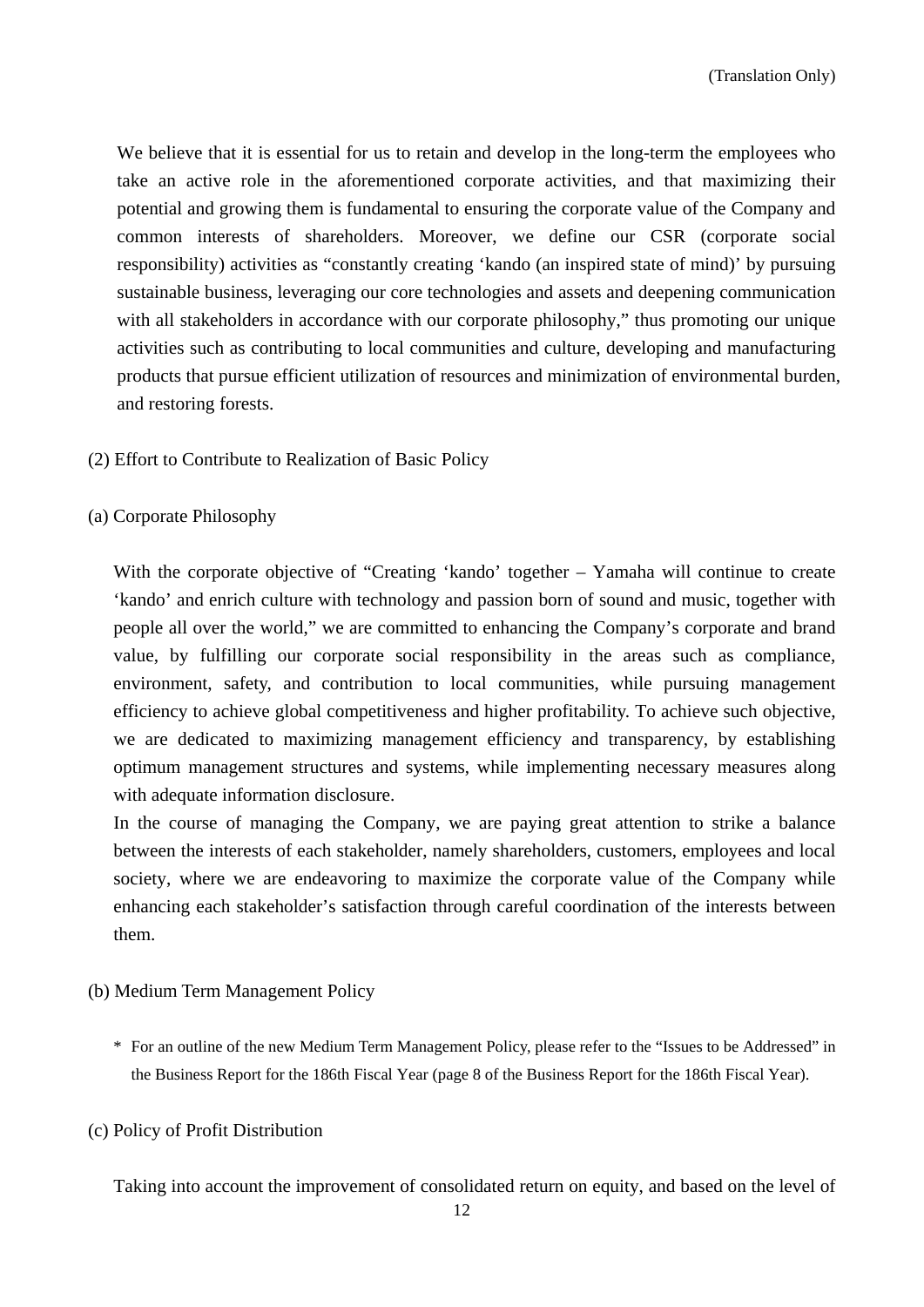We believe that it is essential for us to retain and develop in the long-term the employees who take an active role in the aforementioned corporate activities, and that maximizing their potential and growing them is fundamental to ensuring the corporate value of the Company and common interests of shareholders. Moreover, we define our CSR (corporate social responsibility) activities as "constantly creating 'kando (an inspired state of mind)' by pursuing sustainable business, leveraging our core technologies and assets and deepening communication with all stakeholders in accordance with our corporate philosophy," thus promoting our unique activities such as contributing to local communities and culture, developing and manufacturing products that pursue efficient utilization of resources and minimization of environmental burden, and restoring forests.

- (2) Effort to Contribute to Realization of Basic Policy
- (a) Corporate Philosophy

With the corporate objective of "Creating 'kando' together – Yamaha will continue to create 'kando' and enrich culture with technology and passion born of sound and music, together with people all over the world," we are committed to enhancing the Company's corporate and brand value, by fulfilling our corporate social responsibility in the areas such as compliance, environment, safety, and contribution to local communities, while pursuing management efficiency to achieve global competitiveness and higher profitability. To achieve such objective, we are dedicated to maximizing management efficiency and transparency, by establishing optimum management structures and systems, while implementing necessary measures along with adequate information disclosure.

In the course of managing the Company, we are paying great attention to strike a balance between the interests of each stakeholder, namely shareholders, customers, employees and local society, where we are endeavoring to maximize the corporate value of the Company while enhancing each stakeholder's satisfaction through careful coordination of the interests between them.

- (b) Medium Term Management Policy
	- \* For an outline of the new Medium Term Management Policy, please refer to the "Issues to be Addressed" in the Business Report for the 186th Fiscal Year (page 8 of the Business Report for the 186th Fiscal Year).
- (c) Policy of Profit Distribution

Taking into account the improvement of consolidated return on equity, and based on the level of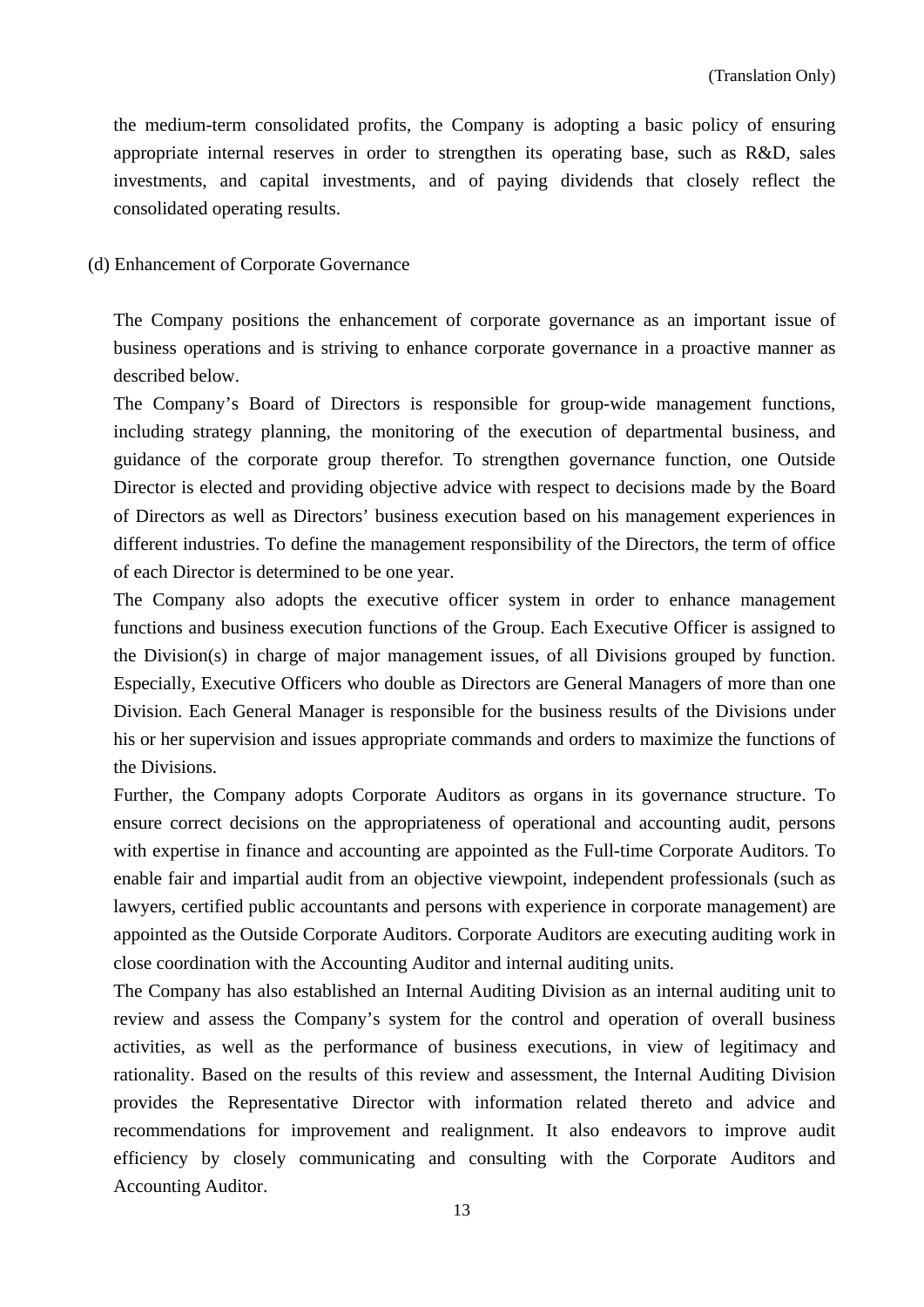the medium-term consolidated profits, the Company is adopting a basic policy of ensuring appropriate internal reserves in order to strengthen its operating base, such as R&D, sales investments, and capital investments, and of paying dividends that closely reflect the consolidated operating results.

#### (d) Enhancement of Corporate Governance

The Company positions the enhancement of corporate governance as an important issue of business operations and is striving to enhance corporate governance in a proactive manner as described below.

The Company's Board of Directors is responsible for group-wide management functions, including strategy planning, the monitoring of the execution of departmental business, and guidance of the corporate group therefor. To strengthen governance function, one Outside Director is elected and providing objective advice with respect to decisions made by the Board of Directors as well as Directors' business execution based on his management experiences in different industries. To define the management responsibility of the Directors, the term of office of each Director is determined to be one year.

The Company also adopts the executive officer system in order to enhance management functions and business execution functions of the Group. Each Executive Officer is assigned to the Division(s) in charge of major management issues, of all Divisions grouped by function. Especially, Executive Officers who double as Directors are General Managers of more than one Division. Each General Manager is responsible for the business results of the Divisions under his or her supervision and issues appropriate commands and orders to maximize the functions of the Divisions.

Further, the Company adopts Corporate Auditors as organs in its governance structure. To ensure correct decisions on the appropriateness of operational and accounting audit, persons with expertise in finance and accounting are appointed as the Full-time Corporate Auditors. To enable fair and impartial audit from an objective viewpoint, independent professionals (such as lawyers, certified public accountants and persons with experience in corporate management) are appointed as the Outside Corporate Auditors. Corporate Auditors are executing auditing work in close coordination with the Accounting Auditor and internal auditing units.

The Company has also established an Internal Auditing Division as an internal auditing unit to review and assess the Company's system for the control and operation of overall business activities, as well as the performance of business executions, in view of legitimacy and rationality. Based on the results of this review and assessment, the Internal Auditing Division provides the Representative Director with information related thereto and advice and recommendations for improvement and realignment. It also endeavors to improve audit efficiency by closely communicating and consulting with the Corporate Auditors and Accounting Auditor.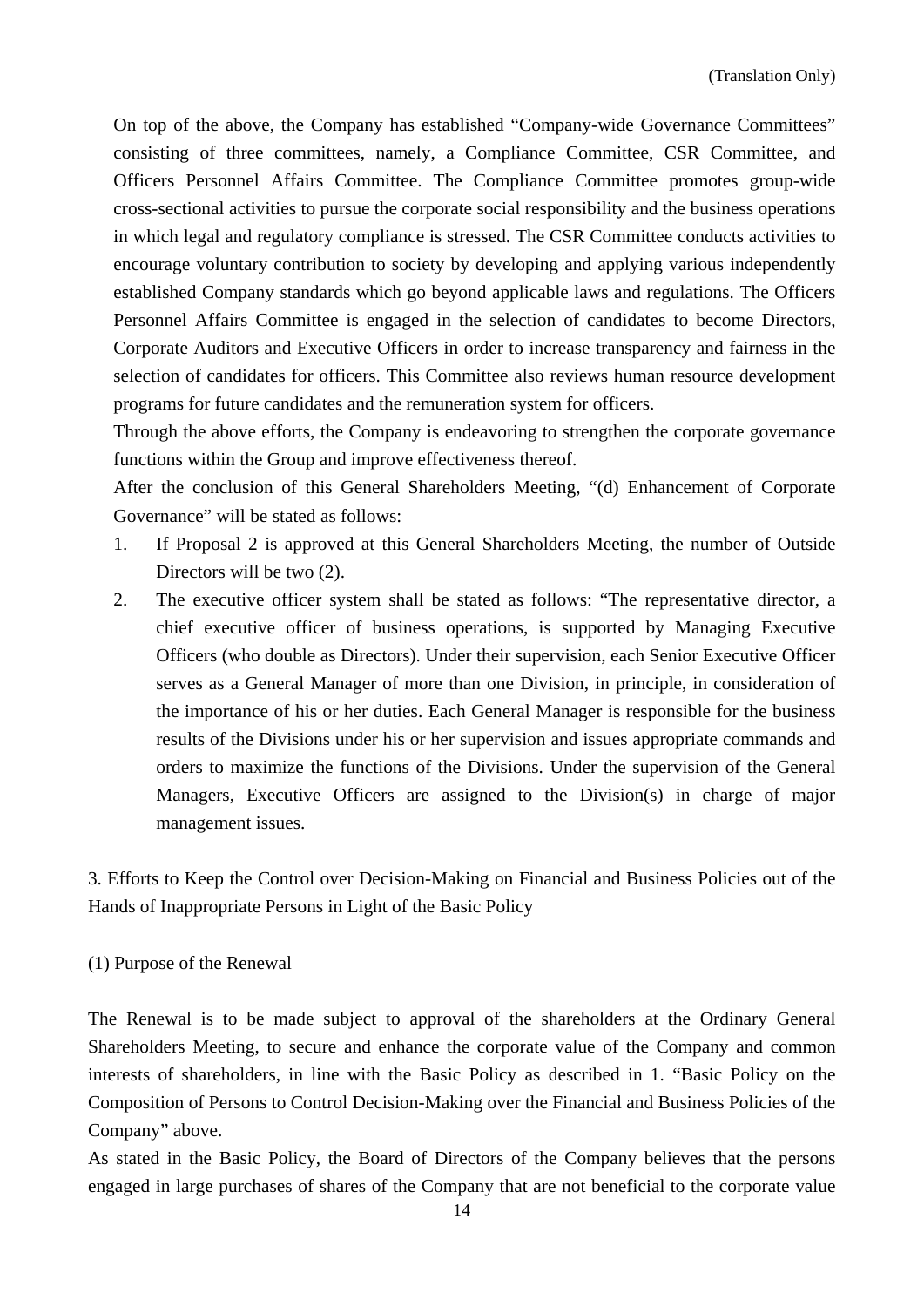On top of the above, the Company has established "Company-wide Governance Committees" consisting of three committees, namely, a Compliance Committee, CSR Committee, and Officers Personnel Affairs Committee. The Compliance Committee promotes group-wide cross-sectional activities to pursue the corporate social responsibility and the business operations in which legal and regulatory compliance is stressed. The CSR Committee conducts activities to encourage voluntary contribution to society by developing and applying various independently established Company standards which go beyond applicable laws and regulations. The Officers Personnel Affairs Committee is engaged in the selection of candidates to become Directors, Corporate Auditors and Executive Officers in order to increase transparency and fairness in the selection of candidates for officers. This Committee also reviews human resource development programs for future candidates and the remuneration system for officers.

Through the above efforts, the Company is endeavoring to strengthen the corporate governance functions within the Group and improve effectiveness thereof.

After the conclusion of this General Shareholders Meeting, "(d) Enhancement of Corporate Governance" will be stated as follows:

- 1. If Proposal 2 is approved at this General Shareholders Meeting, the number of Outside Directors will be two (2).
- 2. The executive officer system shall be stated as follows: "The representative director, a chief executive officer of business operations, is supported by Managing Executive Officers (who double as Directors). Under their supervision, each Senior Executive Officer serves as a General Manager of more than one Division, in principle, in consideration of the importance of his or her duties. Each General Manager is responsible for the business results of the Divisions under his or her supervision and issues appropriate commands and orders to maximize the functions of the Divisions. Under the supervision of the General Managers, Executive Officers are assigned to the Division(s) in charge of major management issues.

3. Efforts to Keep the Control over Decision-Making on Financial and Business Policies out of the Hands of Inappropriate Persons in Light of the Basic Policy

#### (1) Purpose of the Renewal

The Renewal is to be made subject to approval of the shareholders at the Ordinary General Shareholders Meeting, to secure and enhance the corporate value of the Company and common interests of shareholders, in line with the Basic Policy as described in 1. "Basic Policy on the Composition of Persons to Control Decision-Making over the Financial and Business Policies of the Company" above.

As stated in the Basic Policy, the Board of Directors of the Company believes that the persons engaged in large purchases of shares of the Company that are not beneficial to the corporate value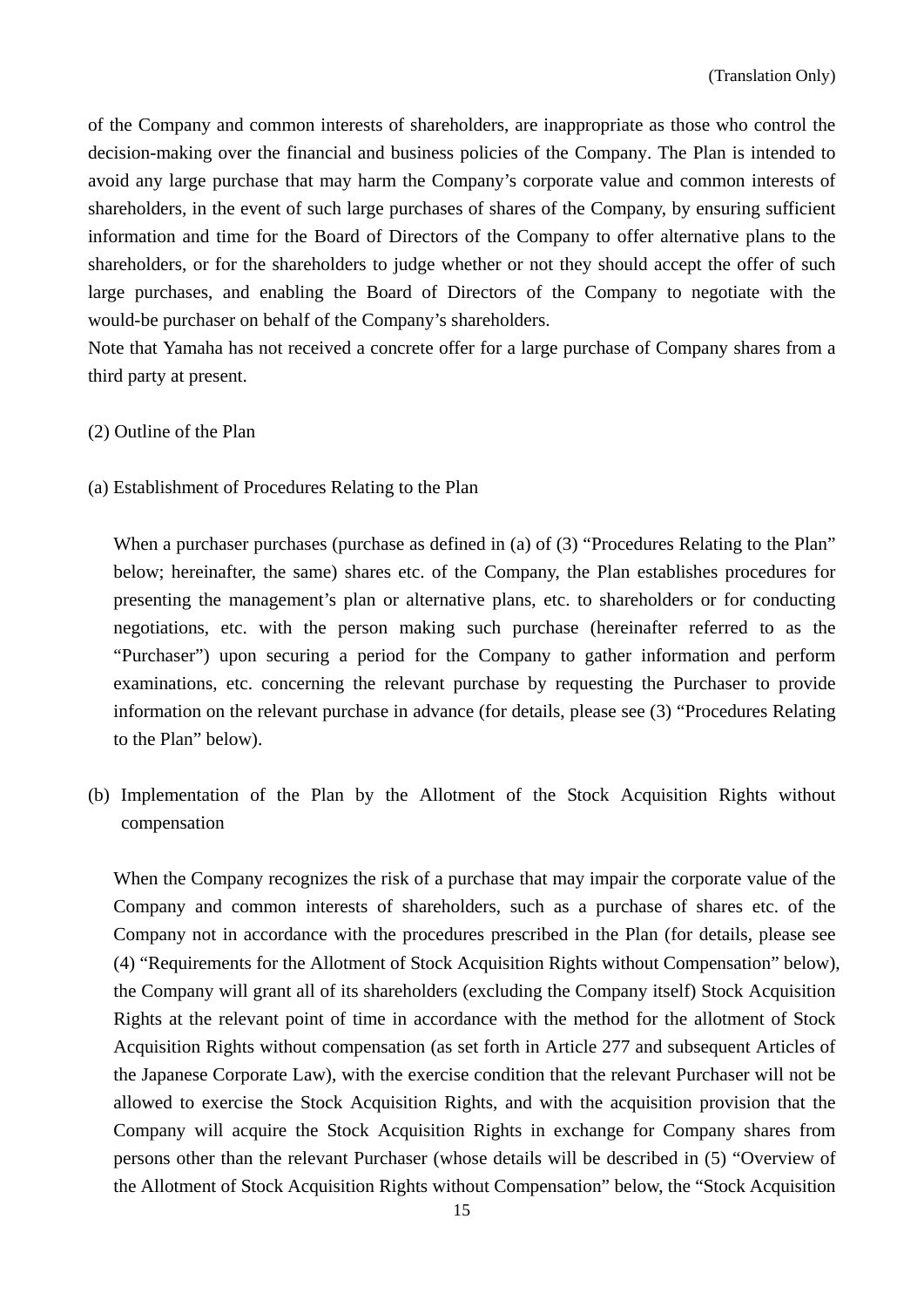of the Company and common interests of shareholders, are inappropriate as those who control the decision-making over the financial and business policies of the Company. The Plan is intended to avoid any large purchase that may harm the Company's corporate value and common interests of shareholders, in the event of such large purchases of shares of the Company, by ensuring sufficient information and time for the Board of Directors of the Company to offer alternative plans to the shareholders, or for the shareholders to judge whether or not they should accept the offer of such large purchases, and enabling the Board of Directors of the Company to negotiate with the would-be purchaser on behalf of the Company's shareholders.

Note that Yamaha has not received a concrete offer for a large purchase of Company shares from a third party at present.

- (2) Outline of the Plan
- (a) Establishment of Procedures Relating to the Plan

When a purchaser purchases (purchase as defined in (a) of (3) "Procedures Relating to the Plan" below; hereinafter, the same) shares etc. of the Company, the Plan establishes procedures for presenting the management's plan or alternative plans, etc. to shareholders or for conducting negotiations, etc. with the person making such purchase (hereinafter referred to as the "Purchaser") upon securing a period for the Company to gather information and perform examinations, etc. concerning the relevant purchase by requesting the Purchaser to provide information on the relevant purchase in advance (for details, please see (3) "Procedures Relating to the Plan" below).

(b) Implementation of the Plan by the Allotment of the Stock Acquisition Rights without compensation

When the Company recognizes the risk of a purchase that may impair the corporate value of the Company and common interests of shareholders, such as a purchase of shares etc. of the Company not in accordance with the procedures prescribed in the Plan (for details, please see (4) "Requirements for the Allotment of Stock Acquisition Rights without Compensation" below), the Company will grant all of its shareholders (excluding the Company itself) Stock Acquisition Rights at the relevant point of time in accordance with the method for the allotment of Stock Acquisition Rights without compensation (as set forth in Article 277 and subsequent Articles of the Japanese Corporate Law), with the exercise condition that the relevant Purchaser will not be allowed to exercise the Stock Acquisition Rights, and with the acquisition provision that the Company will acquire the Stock Acquisition Rights in exchange for Company shares from persons other than the relevant Purchaser (whose details will be described in (5) "Overview of the Allotment of Stock Acquisition Rights without Compensation" below, the "Stock Acquisition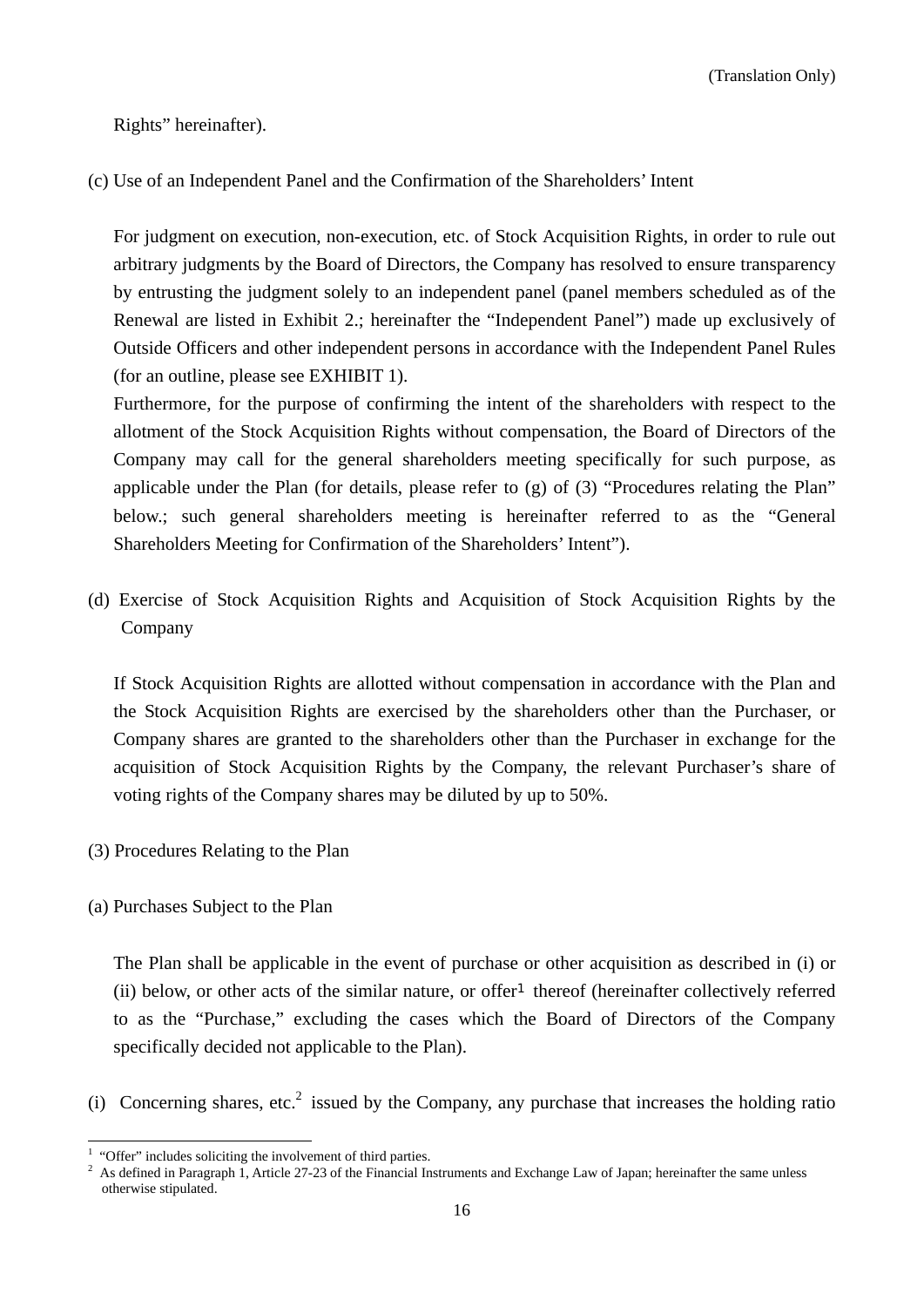Rights" hereinafter).

(c) Use of an Independent Panel and the Confirmation of the Shareholders' Intent

For judgment on execution, non-execution, etc. of Stock Acquisition Rights, in order to rule out arbitrary judgments by the Board of Directors, the Company has resolved to ensure transparency by entrusting the judgment solely to an independent panel (panel members scheduled as of the Renewal are listed in Exhibit 2.; hereinafter the "Independent Panel") made up exclusively of Outside Officers and other independent persons in accordance with the Independent Panel Rules (for an outline, please see EXHIBIT 1).

Furthermore, for the purpose of confirming the intent of the shareholders with respect to the allotment of the Stock Acquisition Rights without compensation, the Board of Directors of the Company may call for the general shareholders meeting specifically for such purpose, as applicable under the Plan (for details, please refer to (g) of (3) "Procedures relating the Plan" below.; such general shareholders meeting is hereinafter referred to as the "General Shareholders Meeting for Confirmation of the Shareholders' Intent").

(d) Exercise of Stock Acquisition Rights and Acquisition of Stock Acquisition Rights by the Company

If Stock Acquisition Rights are allotted without compensation in accordance with the Plan and the Stock Acquisition Rights are exercised by the shareholders other than the Purchaser, or Company shares are granted to the shareholders other than the Purchaser in exchange for the acquisition of Stock Acquisition Rights by the Company, the relevant Purchaser's share of voting rights of the Company shares may be diluted by up to 50%.

- (3) Procedures Relating to the Plan
- (a) Purchases Subject to the Plan

The Plan shall be applicable in the event of purchase or other acquisition as described in (i) or (ii) below, or other acts of the similar nature, or offer1 thereof (hereinafter collectively referred to as the "Purchase," excluding the cases which the Board of Directors of the Company specifically decided not applicable to the Plan).

(i) Concerning shares, etc.<sup>2</sup> issued by the Company, any purchase that increases the holding ratio

<sup>&</sup>lt;sup>1</sup> "Offer" includes soliciting the involvement of third parties.<br> $2^2$  As defined in Personant 1, Article 27, 23 of the Einengiel In

<sup>&</sup>lt;sup>2</sup> As defined in Paragraph 1, Article 27-23 of the Financial Instruments and Exchange Law of Japan; hereinafter the same unless otherwise stipulated.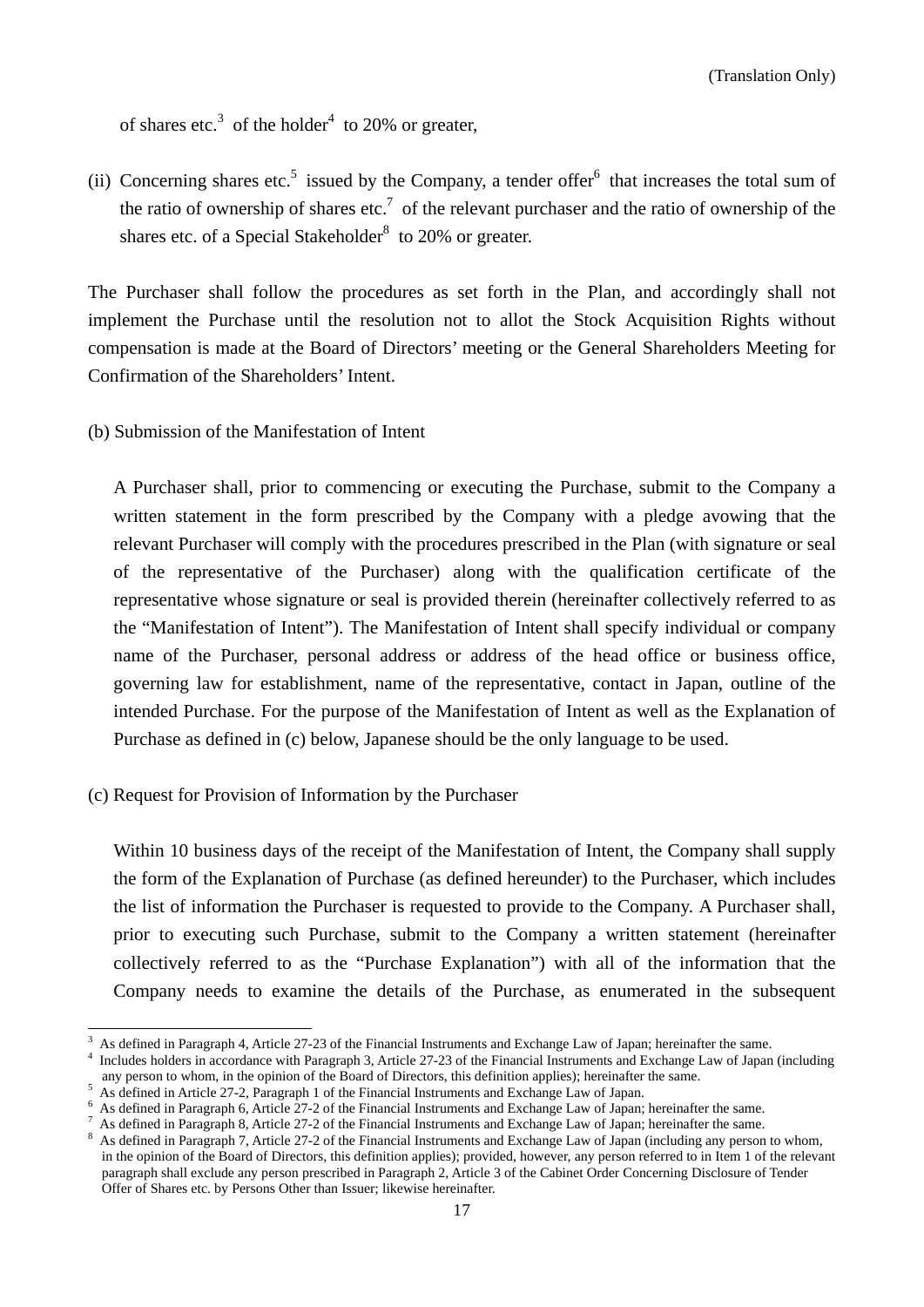of shares etc.<sup>3</sup> of the holder<sup>4</sup> to 20% or greater,

(ii) Concerning shares etc.<sup>5</sup> issued by the Company, a tender offer<sup>6</sup> that increases the total sum of the ratio of ownership of shares etc.<sup>7</sup> of the relevant purchaser and the ratio of ownership of the shares etc. of a Special Stakeholder<sup>8</sup> to 20% or greater.

The Purchaser shall follow the procedures as set forth in the Plan, and accordingly shall not implement the Purchase until the resolution not to allot the Stock Acquisition Rights without compensation is made at the Board of Directors' meeting or the General Shareholders Meeting for Confirmation of the Shareholders' Intent.

(b) Submission of the Manifestation of Intent

A Purchaser shall, prior to commencing or executing the Purchase, submit to the Company a written statement in the form prescribed by the Company with a pledge avowing that the relevant Purchaser will comply with the procedures prescribed in the Plan (with signature or seal of the representative of the Purchaser) along with the qualification certificate of the representative whose signature or seal is provided therein (hereinafter collectively referred to as the "Manifestation of Intent"). The Manifestation of Intent shall specify individual or company name of the Purchaser, personal address or address of the head office or business office, governing law for establishment, name of the representative, contact in Japan, outline of the intended Purchase. For the purpose of the Manifestation of Intent as well as the Explanation of Purchase as defined in (c) below, Japanese should be the only language to be used.

(c) Request for Provision of Information by the Purchaser

Within 10 business days of the receipt of the Manifestation of Intent, the Company shall supply the form of the Explanation of Purchase (as defined hereunder) to the Purchaser, which includes the list of information the Purchaser is requested to provide to the Company. A Purchaser shall, prior to executing such Purchase, submit to the Company a written statement (hereinafter collectively referred to as the "Purchase Explanation") with all of the information that the Company needs to examine the details of the Purchase, as enumerated in the subsequent

<sup>3</sup> As defined in Paragraph 4, Article 27-23 of the Financial Instruments and Exchange Law of Japan; hereinafter the same. 4

<sup>&</sup>lt;sup>4</sup> Includes holders in accordance with Paragraph 3, Article 27-23 of the Financial Instruments and Exchange Law of Japan (including any person to whom, in the opinion of the Board of Directors, this definition applies); hereinafter the same. 5

As defined in Article 27-2, Paragraph 1 of the Financial Instruments and Exchange Law of Japan. 6

As defined in Paragraph 6, Article 27-2 of the Financial Instruments and Exchange Law of Japan; hereinafter the same. 7

As defined in Paragraph 8, Article 27-2 of the Financial Instruments and Exchange Law of Japan; hereinafter the same. 8

As defined in Paragraph 7, Article 27-2 of the Financial Instruments and Exchange Law of Japan (including any person to whom, in the opinion of the Board of Directors, this definition applies); provided, however, any person referred to in Item 1 of the relevant paragraph shall exclude any person prescribed in Paragraph 2, Article 3 of the Cabinet Order Concerning Disclosure of Tender Offer of Shares etc. by Persons Other than Issuer; likewise hereinafter.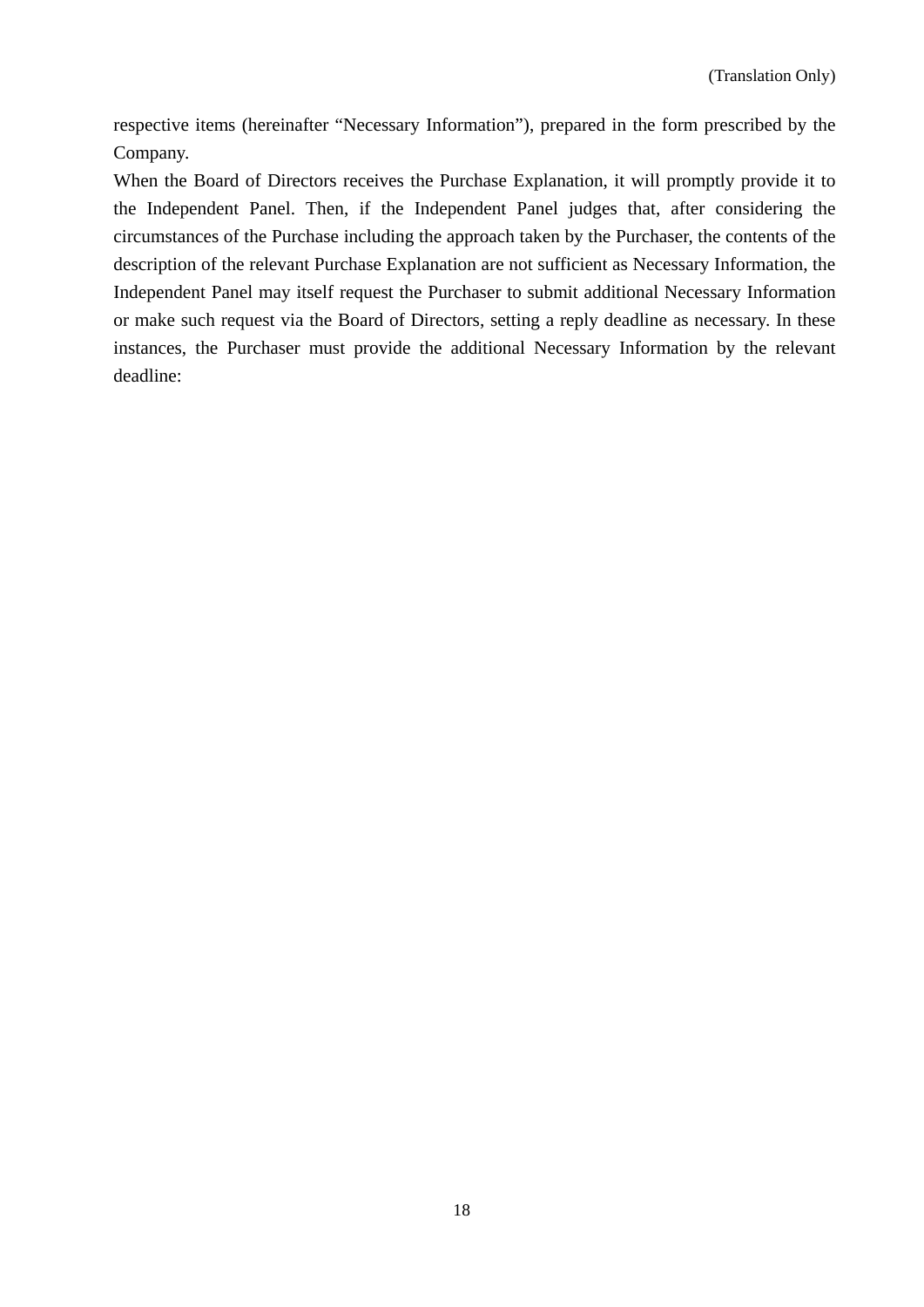respective items (hereinafter "Necessary Information"), prepared in the form prescribed by the Company.

When the Board of Directors receives the Purchase Explanation, it will promptly provide it to the Independent Panel. Then, if the Independent Panel judges that, after considering the circumstances of the Purchase including the approach taken by the Purchaser, the contents of the description of the relevant Purchase Explanation are not sufficient as Necessary Information, the Independent Panel may itself request the Purchaser to submit additional Necessary Information or make such request via the Board of Directors, setting a reply deadline as necessary. In these instances, the Purchaser must provide the additional Necessary Information by the relevant deadline: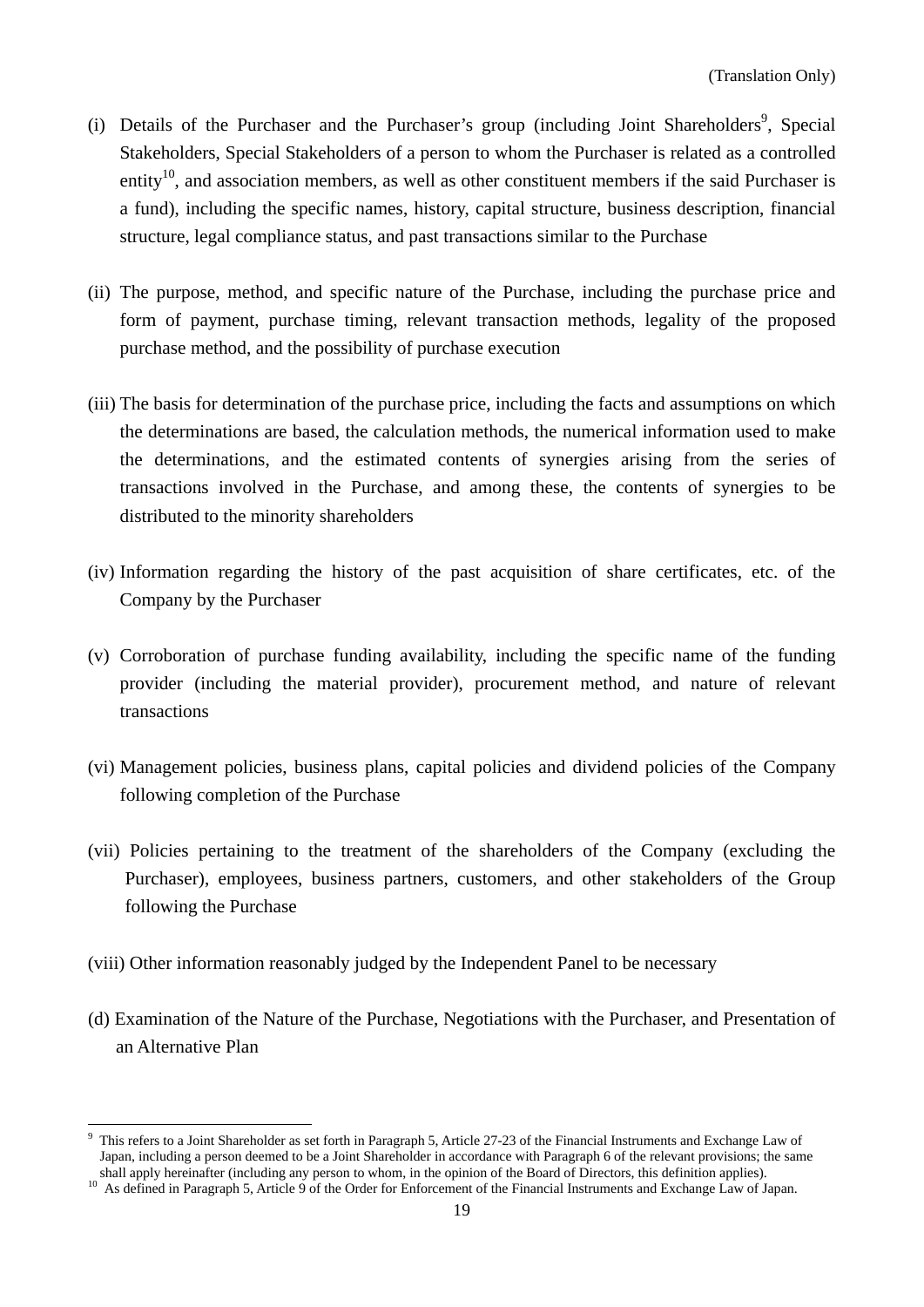- (i) Details of the Purchaser and the Purchaser's group (including Joint Shareholders<sup>9</sup>, Special Stakeholders, Special Stakeholders of a person to whom the Purchaser is related as a controlled entity<sup>10</sup>, and association members, as well as other constituent members if the said Purchaser is a fund), including the specific names, history, capital structure, business description, financial structure, legal compliance status, and past transactions similar to the Purchase
- (ii) The purpose, method, and specific nature of the Purchase, including the purchase price and form of payment, purchase timing, relevant transaction methods, legality of the proposed purchase method, and the possibility of purchase execution
- (iii) The basis for determination of the purchase price, including the facts and assumptions on which the determinations are based, the calculation methods, the numerical information used to make the determinations, and the estimated contents of synergies arising from the series of transactions involved in the Purchase, and among these, the contents of synergies to be distributed to the minority shareholders
- (iv) Information regarding the history of the past acquisition of share certificates, etc. of the Company by the Purchaser
- (v) Corroboration of purchase funding availability, including the specific name of the funding provider (including the material provider), procurement method, and nature of relevant transactions
- (vi) Management policies, business plans, capital policies and dividend policies of the Company following completion of the Purchase
- (vii) Policies pertaining to the treatment of the shareholders of the Company (excluding the Purchaser), employees, business partners, customers, and other stakeholders of the Group following the Purchase
- (viii) Other information reasonably judged by the Independent Panel to be necessary

 $\overline{a}$ 

(d) Examination of the Nature of the Purchase, Negotiations with the Purchaser, and Presentation of an Alternative Plan

<sup>&</sup>lt;sup>9</sup> This refers to a Joint Shareholder as set forth in Paragraph 5, Article 27-23 of the Financial Instruments and Exchange Law of Japan, including a person deemed to be a Joint Shareholder in accordance with Paragraph 6 of the relevant provisions; the same shall apply hereinafter (including any person to whom, in the opinion of the Board of Directors, this definition applies).<br><sup>10</sup> As defined in Paragraph 5, Article 9 of the Order for Enforcement of the Financial Instruments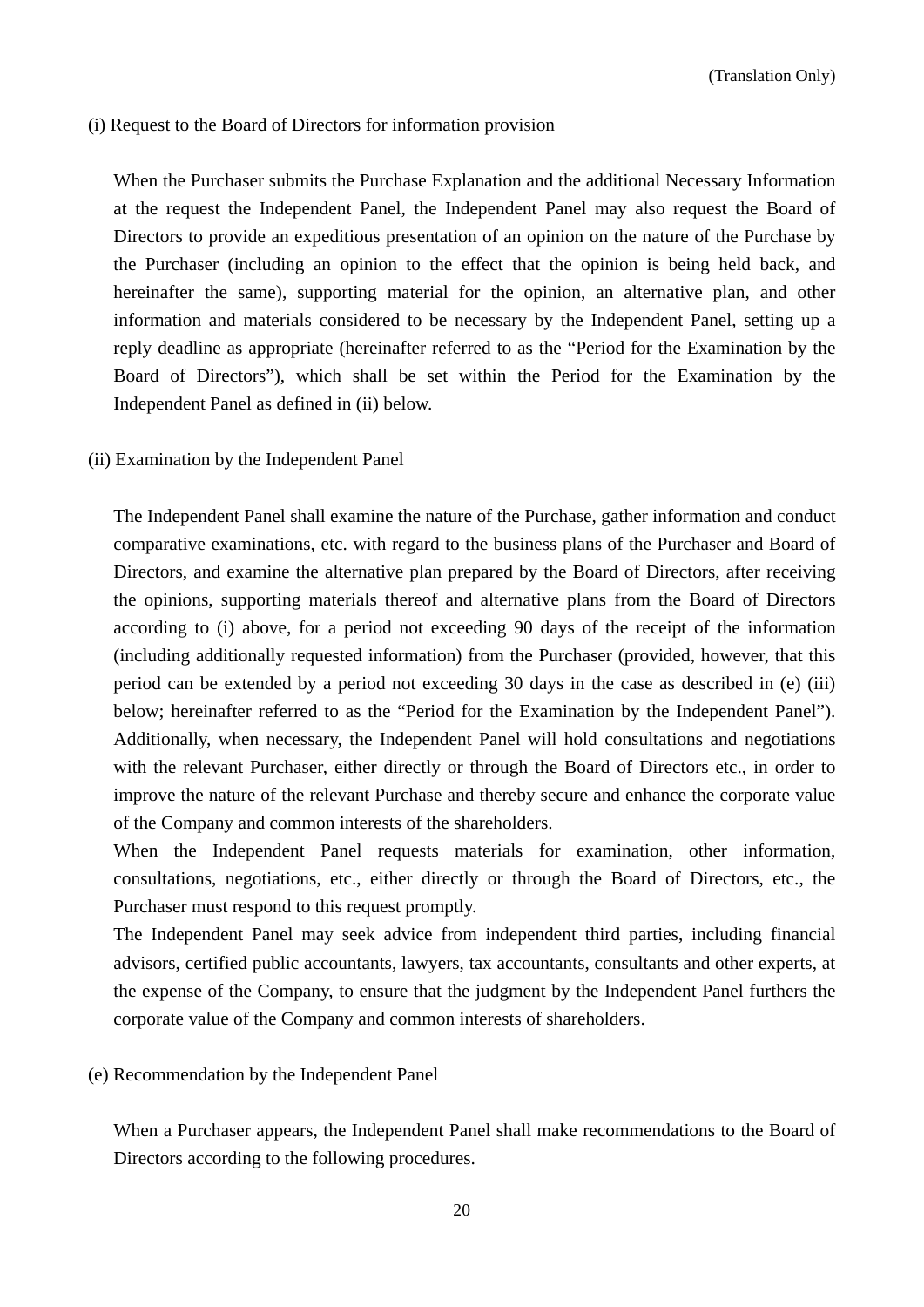#### (i) Request to the Board of Directors for information provision

When the Purchaser submits the Purchase Explanation and the additional Necessary Information at the request the Independent Panel, the Independent Panel may also request the Board of Directors to provide an expeditious presentation of an opinion on the nature of the Purchase by the Purchaser (including an opinion to the effect that the opinion is being held back, and hereinafter the same), supporting material for the opinion, an alternative plan, and other information and materials considered to be necessary by the Independent Panel, setting up a reply deadline as appropriate (hereinafter referred to as the "Period for the Examination by the Board of Directors"), which shall be set within the Period for the Examination by the Independent Panel as defined in (ii) below.

(ii) Examination by the Independent Panel

The Independent Panel shall examine the nature of the Purchase, gather information and conduct comparative examinations, etc. with regard to the business plans of the Purchaser and Board of Directors, and examine the alternative plan prepared by the Board of Directors, after receiving the opinions, supporting materials thereof and alternative plans from the Board of Directors according to (i) above, for a period not exceeding 90 days of the receipt of the information (including additionally requested information) from the Purchaser (provided, however, that this period can be extended by a period not exceeding 30 days in the case as described in (e) (iii) below; hereinafter referred to as the "Period for the Examination by the Independent Panel"). Additionally, when necessary, the Independent Panel will hold consultations and negotiations with the relevant Purchaser, either directly or through the Board of Directors etc., in order to improve the nature of the relevant Purchase and thereby secure and enhance the corporate value of the Company and common interests of the shareholders.

When the Independent Panel requests materials for examination, other information, consultations, negotiations, etc., either directly or through the Board of Directors, etc., the Purchaser must respond to this request promptly.

The Independent Panel may seek advice from independent third parties, including financial advisors, certified public accountants, lawyers, tax accountants, consultants and other experts, at the expense of the Company, to ensure that the judgment by the Independent Panel furthers the corporate value of the Company and common interests of shareholders.

(e) Recommendation by the Independent Panel

When a Purchaser appears, the Independent Panel shall make recommendations to the Board of Directors according to the following procedures.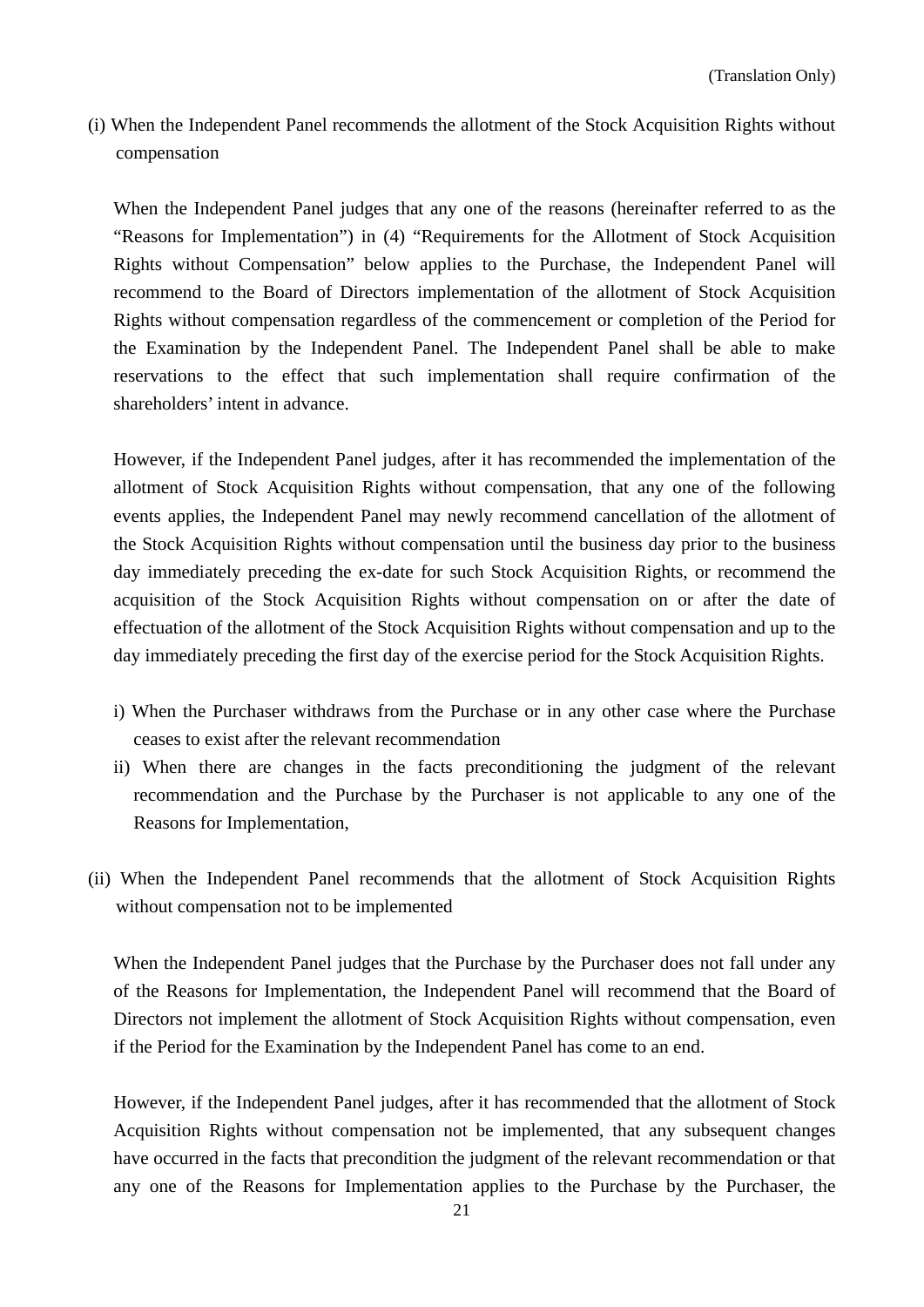(i) When the Independent Panel recommends the allotment of the Stock Acquisition Rights without compensation

When the Independent Panel judges that any one of the reasons (hereinafter referred to as the "Reasons for Implementation") in (4) "Requirements for the Allotment of Stock Acquisition Rights without Compensation" below applies to the Purchase, the Independent Panel will recommend to the Board of Directors implementation of the allotment of Stock Acquisition Rights without compensation regardless of the commencement or completion of the Period for the Examination by the Independent Panel. The Independent Panel shall be able to make reservations to the effect that such implementation shall require confirmation of the shareholders' intent in advance.

However, if the Independent Panel judges, after it has recommended the implementation of the allotment of Stock Acquisition Rights without compensation, that any one of the following events applies, the Independent Panel may newly recommend cancellation of the allotment of the Stock Acquisition Rights without compensation until the business day prior to the business day immediately preceding the ex-date for such Stock Acquisition Rights, or recommend the acquisition of the Stock Acquisition Rights without compensation on or after the date of effectuation of the allotment of the Stock Acquisition Rights without compensation and up to the day immediately preceding the first day of the exercise period for the Stock Acquisition Rights.

- i) When the Purchaser withdraws from the Purchase or in any other case where the Purchase ceases to exist after the relevant recommendation
- ii) When there are changes in the facts preconditioning the judgment of the relevant recommendation and the Purchase by the Purchaser is not applicable to any one of the Reasons for Implementation,
- (ii) When the Independent Panel recommends that the allotment of Stock Acquisition Rights without compensation not to be implemented

When the Independent Panel judges that the Purchase by the Purchaser does not fall under any of the Reasons for Implementation, the Independent Panel will recommend that the Board of Directors not implement the allotment of Stock Acquisition Rights without compensation, even if the Period for the Examination by the Independent Panel has come to an end.

However, if the Independent Panel judges, after it has recommended that the allotment of Stock Acquisition Rights without compensation not be implemented, that any subsequent changes have occurred in the facts that precondition the judgment of the relevant recommendation or that any one of the Reasons for Implementation applies to the Purchase by the Purchaser, the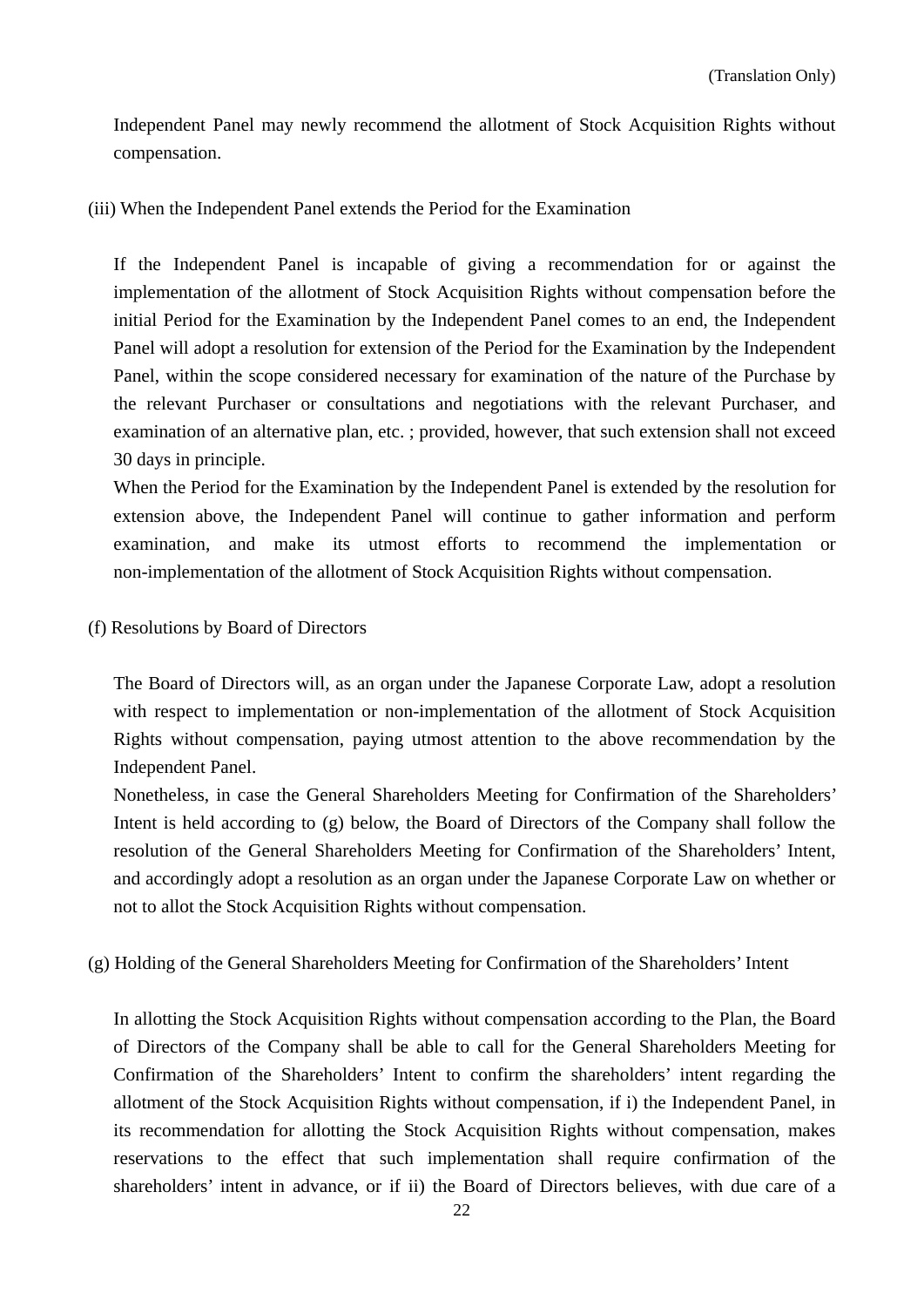Independent Panel may newly recommend the allotment of Stock Acquisition Rights without compensation.

## (iii) When the Independent Panel extends the Period for the Examination

If the Independent Panel is incapable of giving a recommendation for or against the implementation of the allotment of Stock Acquisition Rights without compensation before the initial Period for the Examination by the Independent Panel comes to an end, the Independent Panel will adopt a resolution for extension of the Period for the Examination by the Independent Panel, within the scope considered necessary for examination of the nature of the Purchase by the relevant Purchaser or consultations and negotiations with the relevant Purchaser, and examination of an alternative plan, etc. ; provided, however, that such extension shall not exceed 30 days in principle.

When the Period for the Examination by the Independent Panel is extended by the resolution for extension above, the Independent Panel will continue to gather information and perform examination, and make its utmost efforts to recommend the implementation or non-implementation of the allotment of Stock Acquisition Rights without compensation.

(f) Resolutions by Board of Directors

The Board of Directors will, as an organ under the Japanese Corporate Law, adopt a resolution with respect to implementation or non-implementation of the allotment of Stock Acquisition Rights without compensation, paying utmost attention to the above recommendation by the Independent Panel.

Nonetheless, in case the General Shareholders Meeting for Confirmation of the Shareholders' Intent is held according to (g) below, the Board of Directors of the Company shall follow the resolution of the General Shareholders Meeting for Confirmation of the Shareholders' Intent, and accordingly adopt a resolution as an organ under the Japanese Corporate Law on whether or not to allot the Stock Acquisition Rights without compensation.

(g) Holding of the General Shareholders Meeting for Confirmation of the Shareholders' Intent

In allotting the Stock Acquisition Rights without compensation according to the Plan, the Board of Directors of the Company shall be able to call for the General Shareholders Meeting for Confirmation of the Shareholders' Intent to confirm the shareholders' intent regarding the allotment of the Stock Acquisition Rights without compensation, if i) the Independent Panel, in its recommendation for allotting the Stock Acquisition Rights without compensation, makes reservations to the effect that such implementation shall require confirmation of the shareholders' intent in advance, or if ii) the Board of Directors believes, with due care of a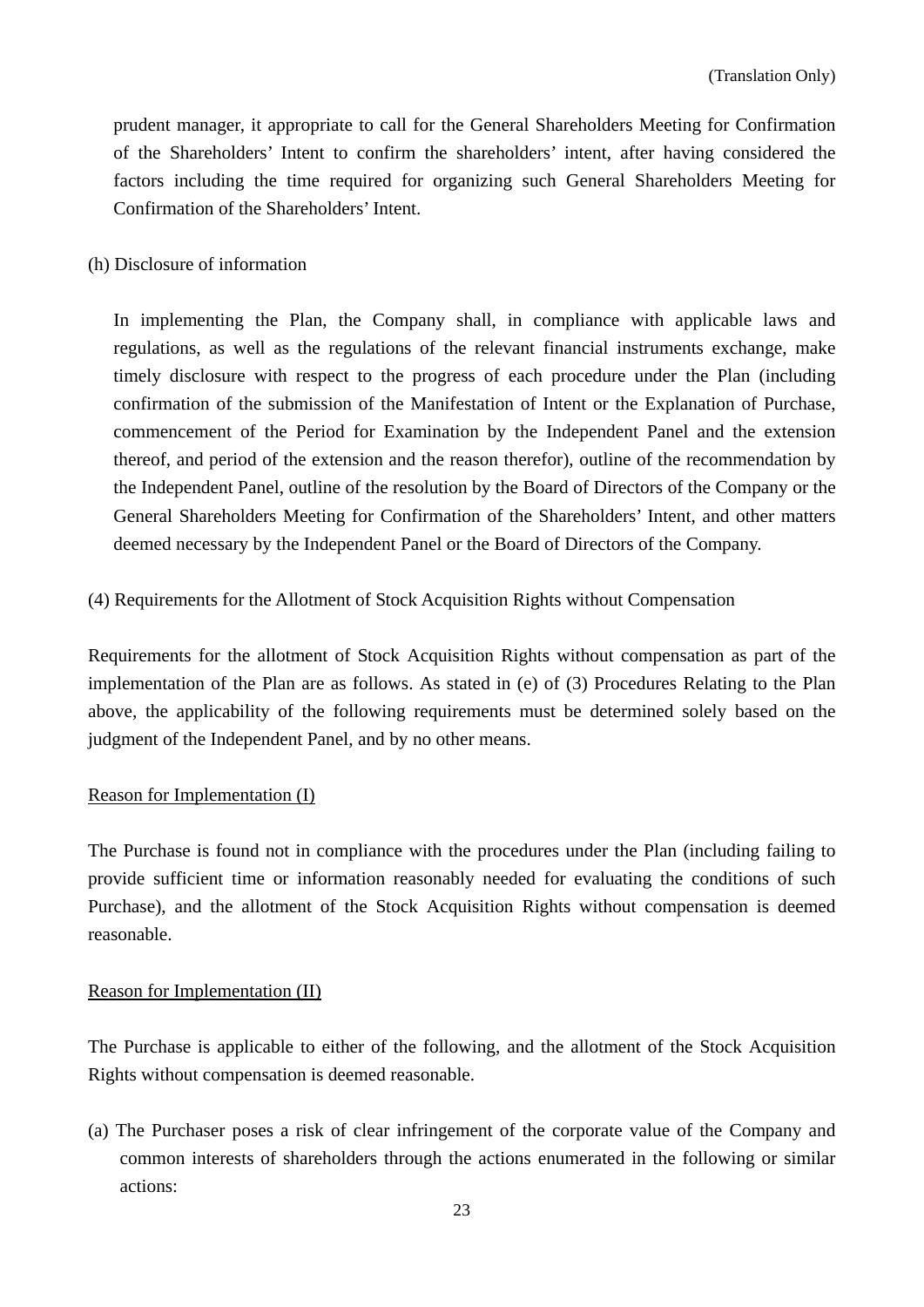prudent manager, it appropriate to call for the General Shareholders Meeting for Confirmation of the Shareholders' Intent to confirm the shareholders' intent, after having considered the factors including the time required for organizing such General Shareholders Meeting for Confirmation of the Shareholders' Intent.

(h) Disclosure of information

In implementing the Plan, the Company shall, in compliance with applicable laws and regulations, as well as the regulations of the relevant financial instruments exchange, make timely disclosure with respect to the progress of each procedure under the Plan (including confirmation of the submission of the Manifestation of Intent or the Explanation of Purchase, commencement of the Period for Examination by the Independent Panel and the extension thereof, and period of the extension and the reason therefor), outline of the recommendation by the Independent Panel, outline of the resolution by the Board of Directors of the Company or the General Shareholders Meeting for Confirmation of the Shareholders' Intent, and other matters deemed necessary by the Independent Panel or the Board of Directors of the Company.

(4) Requirements for the Allotment of Stock Acquisition Rights without Compensation

Requirements for the allotment of Stock Acquisition Rights without compensation as part of the implementation of the Plan are as follows. As stated in (e) of (3) Procedures Relating to the Plan above, the applicability of the following requirements must be determined solely based on the judgment of the Independent Panel, and by no other means.

#### Reason for Implementation (I)

The Purchase is found not in compliance with the procedures under the Plan (including failing to provide sufficient time or information reasonably needed for evaluating the conditions of such Purchase), and the allotment of the Stock Acquisition Rights without compensation is deemed reasonable.

#### Reason for Implementation (II)

The Purchase is applicable to either of the following, and the allotment of the Stock Acquisition Rights without compensation is deemed reasonable.

(a) The Purchaser poses a risk of clear infringement of the corporate value of the Company and common interests of shareholders through the actions enumerated in the following or similar actions: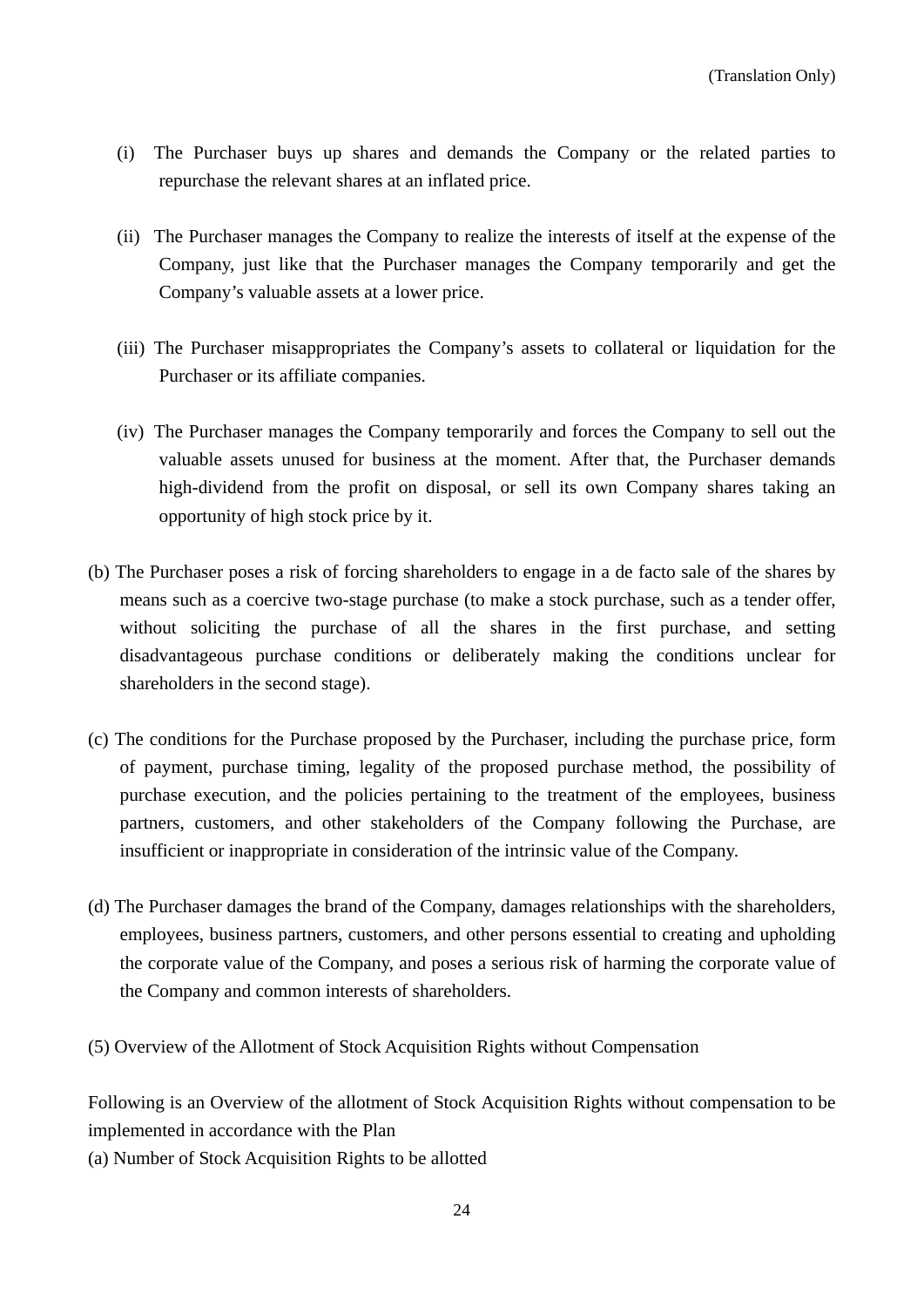- (i) The Purchaser buys up shares and demands the Company or the related parties to repurchase the relevant shares at an inflated price.
- (ii) The Purchaser manages the Company to realize the interests of itself at the expense of the Company, just like that the Purchaser manages the Company temporarily and get the Company's valuable assets at a lower price.
- (iii) The Purchaser misappropriates the Company's assets to collateral or liquidation for the Purchaser or its affiliate companies.
- (iv) The Purchaser manages the Company temporarily and forces the Company to sell out the valuable assets unused for business at the moment. After that, the Purchaser demands high-dividend from the profit on disposal, or sell its own Company shares taking an opportunity of high stock price by it.
- (b) The Purchaser poses a risk of forcing shareholders to engage in a de facto sale of the shares by means such as a coercive two-stage purchase (to make a stock purchase, such as a tender offer, without soliciting the purchase of all the shares in the first purchase, and setting disadvantageous purchase conditions or deliberately making the conditions unclear for shareholders in the second stage).
- (c) The conditions for the Purchase proposed by the Purchaser, including the purchase price, form of payment, purchase timing, legality of the proposed purchase method, the possibility of purchase execution, and the policies pertaining to the treatment of the employees, business partners, customers, and other stakeholders of the Company following the Purchase, are insufficient or inappropriate in consideration of the intrinsic value of the Company.
- (d) The Purchaser damages the brand of the Company, damages relationships with the shareholders, employees, business partners, customers, and other persons essential to creating and upholding the corporate value of the Company, and poses a serious risk of harming the corporate value of the Company and common interests of shareholders.
- (5) Overview of the Allotment of Stock Acquisition Rights without Compensation

Following is an Overview of the allotment of Stock Acquisition Rights without compensation to be implemented in accordance with the Plan

(a) Number of Stock Acquisition Rights to be allotted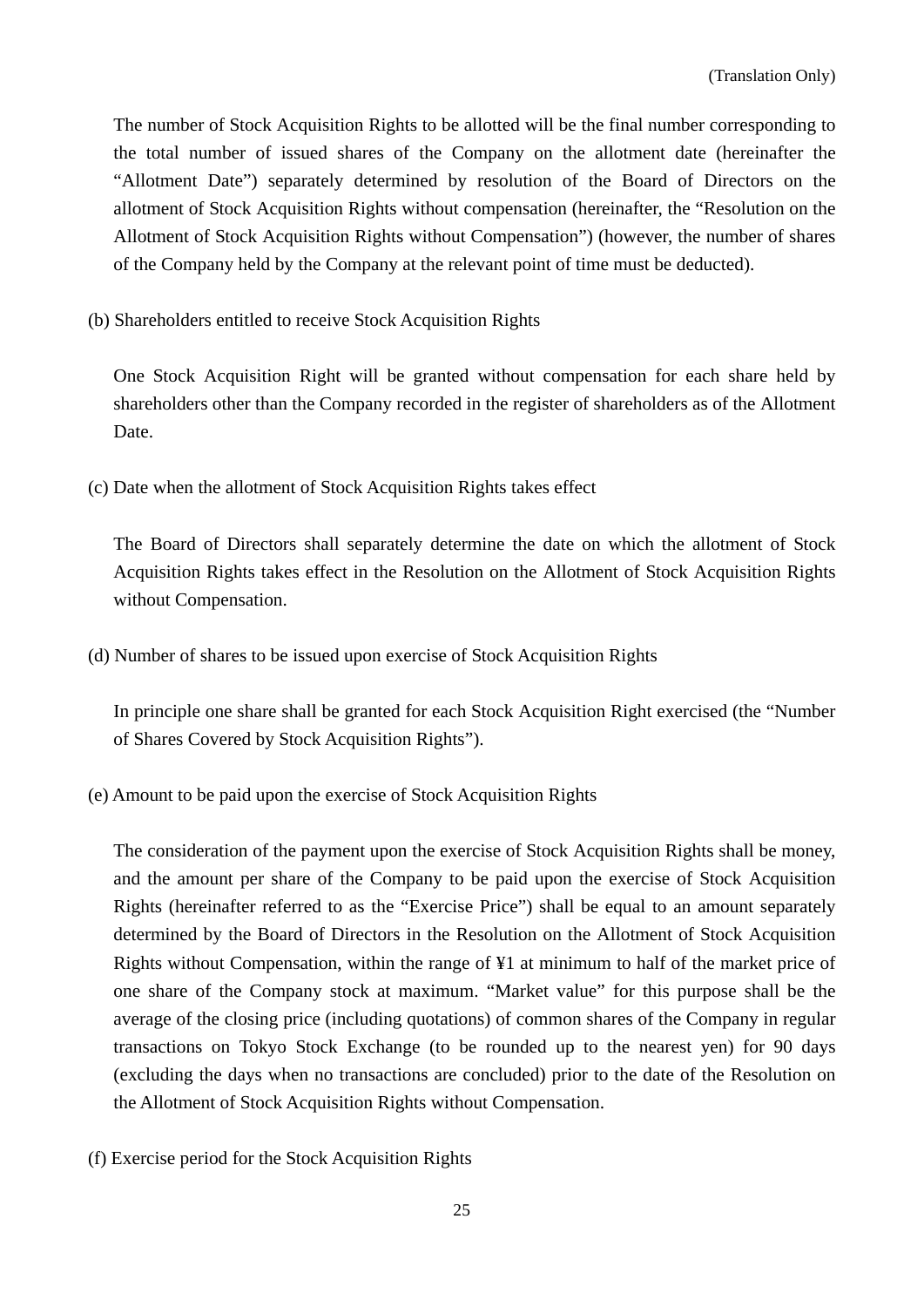The number of Stock Acquisition Rights to be allotted will be the final number corresponding to the total number of issued shares of the Company on the allotment date (hereinafter the "Allotment Date") separately determined by resolution of the Board of Directors on the allotment of Stock Acquisition Rights without compensation (hereinafter, the "Resolution on the Allotment of Stock Acquisition Rights without Compensation") (however, the number of shares of the Company held by the Company at the relevant point of time must be deducted).

(b) Shareholders entitled to receive Stock Acquisition Rights

One Stock Acquisition Right will be granted without compensation for each share held by shareholders other than the Company recorded in the register of shareholders as of the Allotment Date.

(c) Date when the allotment of Stock Acquisition Rights takes effect

The Board of Directors shall separately determine the date on which the allotment of Stock Acquisition Rights takes effect in the Resolution on the Allotment of Stock Acquisition Rights without Compensation.

(d) Number of shares to be issued upon exercise of Stock Acquisition Rights

In principle one share shall be granted for each Stock Acquisition Right exercised (the "Number of Shares Covered by Stock Acquisition Rights").

(e) Amount to be paid upon the exercise of Stock Acquisition Rights

The consideration of the payment upon the exercise of Stock Acquisition Rights shall be money, and the amount per share of the Company to be paid upon the exercise of Stock Acquisition Rights (hereinafter referred to as the "Exercise Price") shall be equal to an amount separately determined by the Board of Directors in the Resolution on the Allotment of Stock Acquisition Rights without Compensation, within the range of ¥1 at minimum to half of the market price of one share of the Company stock at maximum. "Market value" for this purpose shall be the average of the closing price (including quotations) of common shares of the Company in regular transactions on Tokyo Stock Exchange (to be rounded up to the nearest yen) for 90 days (excluding the days when no transactions are concluded) prior to the date of the Resolution on the Allotment of Stock Acquisition Rights without Compensation.

(f) Exercise period for the Stock Acquisition Rights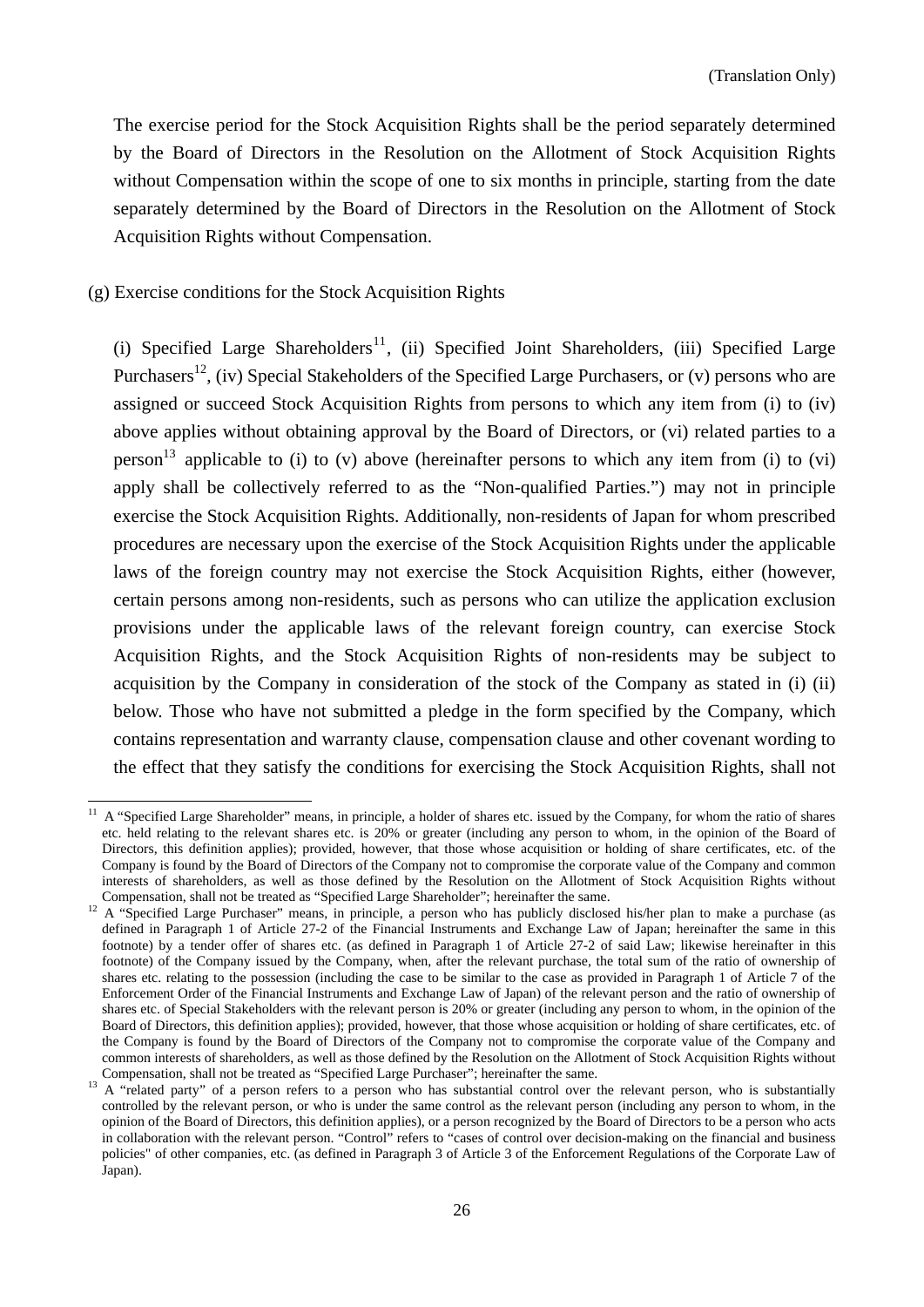The exercise period for the Stock Acquisition Rights shall be the period separately determined by the Board of Directors in the Resolution on the Allotment of Stock Acquisition Rights without Compensation within the scope of one to six months in principle, starting from the date separately determined by the Board of Directors in the Resolution on the Allotment of Stock Acquisition Rights without Compensation.

#### (g) Exercise conditions for the Stock Acquisition Rights

(i) Specified Large Shareholders<sup>11</sup>, (ii) Specified Joint Shareholders, (iii) Specified Large Purchasers<sup>12</sup>, (iv) Special Stakeholders of the Specified Large Purchasers, or (v) persons who are assigned or succeed Stock Acquisition Rights from persons to which any item from (i) to (iv) above applies without obtaining approval by the Board of Directors, or (vi) related parties to a person<sup>13</sup> applicable to (i) to (v) above (hereinafter persons to which any item from (i) to (vi) apply shall be collectively referred to as the "Non-qualified Parties.") may not in principle exercise the Stock Acquisition Rights. Additionally, non-residents of Japan for whom prescribed procedures are necessary upon the exercise of the Stock Acquisition Rights under the applicable laws of the foreign country may not exercise the Stock Acquisition Rights, either (however, certain persons among non-residents, such as persons who can utilize the application exclusion provisions under the applicable laws of the relevant foreign country, can exercise Stock Acquisition Rights, and the Stock Acquisition Rights of non-residents may be subject to acquisition by the Company in consideration of the stock of the Company as stated in (i) (ii) below. Those who have not submitted a pledge in the form specified by the Company, which contains representation and warranty clause, compensation clause and other covenant wording to the effect that they satisfy the conditions for exercising the Stock Acquisition Rights, shall not

 11 A "Specified Large Shareholder" means, in principle, a holder of shares etc. issued by the Company, for whom the ratio of shares etc. held relating to the relevant shares etc. is 20% or greater (including any person to whom, in the opinion of the Board of Directors, this definition applies); provided, however, that those whose acquisition or holding of share certificates, etc. of the Company is found by the Board of Directors of the Company not to compromise the corporate value of the Company and common interests of shareholders, as well as those defined by the Resolution on the Allotment of Stock Acquisition Rights without Compensation, shall not be treated as "Specified Large Shareholder"; hereinafter the same.<br><sup>12</sup> A "Specified Large Purchaser" means, in principle, a person who has publicly disclosed his/her plan to make a purchase (as

defined in Paragraph 1 of Article 27-2 of the Financial Instruments and Exchange Law of Japan; hereinafter the same in this footnote) by a tender offer of shares etc. (as defined in Paragraph 1 of Article 27-2 of said Law; likewise hereinafter in this footnote) of the Company issued by the Company, when, after the relevant purchase, the total sum of the ratio of ownership of shares etc. relating to the possession (including the case to be similar to the case as provided in Paragraph 1 of Article 7 of the Enforcement Order of the Financial Instruments and Exchange Law of Japan) of the relevant person and the ratio of ownership of shares etc. of Special Stakeholders with the relevant person is 20% or greater (including any person to whom, in the opinion of the Board of Directors, this definition applies); provided, however, that those whose acquisition or holding of share certificates, etc. of the Company is found by the Board of Directors of the Company not to compromise the corporate value of the Company and common interests of shareholders, as well as those defined by the Resolution on the Allotment of Stock Acquisition Rights without

Compensation, shall not be treated as "Specified Large Purchaser"; hereinafter the same.<br><sup>13</sup> A "related party" of a person refers to a person who has substantial control over the relevant person, who is substantially controlled by the relevant person, or who is under the same control as the relevant person (including any person to whom, in the opinion of the Board of Directors, this definition applies), or a person recognized by the Board of Directors to be a person who acts in collaboration with the relevant person. "Control" refers to "cases of control over decision-making on the financial and business policies" of other companies, etc. (as defined in Paragraph 3 of Article 3 of the Enforcement Regulations of the Corporate Law of Japan).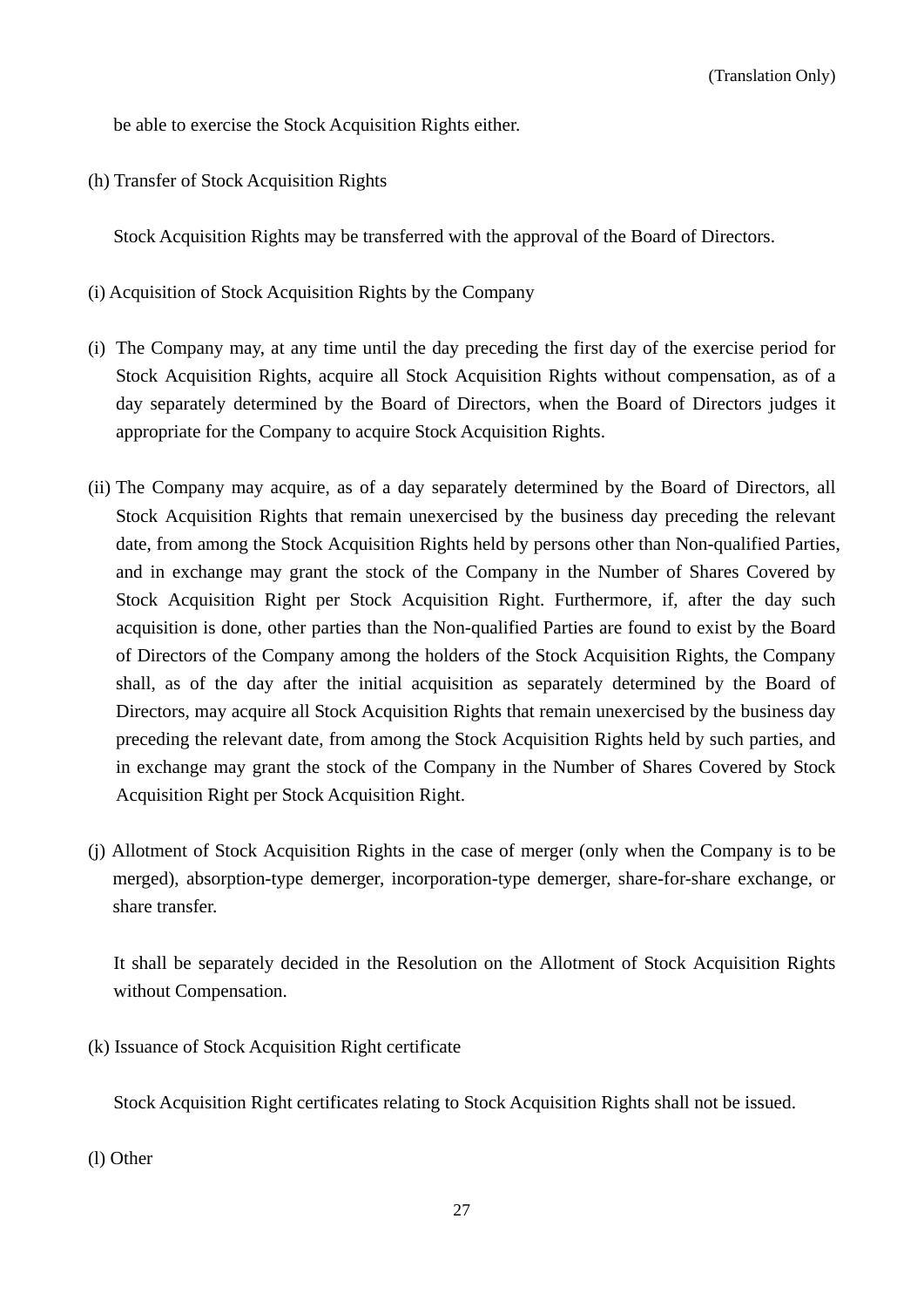be able to exercise the Stock Acquisition Rights either.

(h) Transfer of Stock Acquisition Rights

Stock Acquisition Rights may be transferred with the approval of the Board of Directors.

- (i) Acquisition of Stock Acquisition Rights by the Company
- (i) The Company may, at any time until the day preceding the first day of the exercise period for Stock Acquisition Rights, acquire all Stock Acquisition Rights without compensation, as of a day separately determined by the Board of Directors, when the Board of Directors judges it appropriate for the Company to acquire Stock Acquisition Rights.
- (ii) The Company may acquire, as of a day separately determined by the Board of Directors, all Stock Acquisition Rights that remain unexercised by the business day preceding the relevant date, from among the Stock Acquisition Rights held by persons other than Non-qualified Parties, and in exchange may grant the stock of the Company in the Number of Shares Covered by Stock Acquisition Right per Stock Acquisition Right. Furthermore, if, after the day such acquisition is done, other parties than the Non-qualified Parties are found to exist by the Board of Directors of the Company among the holders of the Stock Acquisition Rights, the Company shall, as of the day after the initial acquisition as separately determined by the Board of Directors, may acquire all Stock Acquisition Rights that remain unexercised by the business day preceding the relevant date, from among the Stock Acquisition Rights held by such parties, and in exchange may grant the stock of the Company in the Number of Shares Covered by Stock Acquisition Right per Stock Acquisition Right.
- (j) Allotment of Stock Acquisition Rights in the case of merger (only when the Company is to be merged), absorption-type demerger, incorporation-type demerger, share-for-share exchange, or share transfer.

It shall be separately decided in the Resolution on the Allotment of Stock Acquisition Rights without Compensation.

(k) Issuance of Stock Acquisition Right certificate

Stock Acquisition Right certificates relating to Stock Acquisition Rights shall not be issued.

(l) Other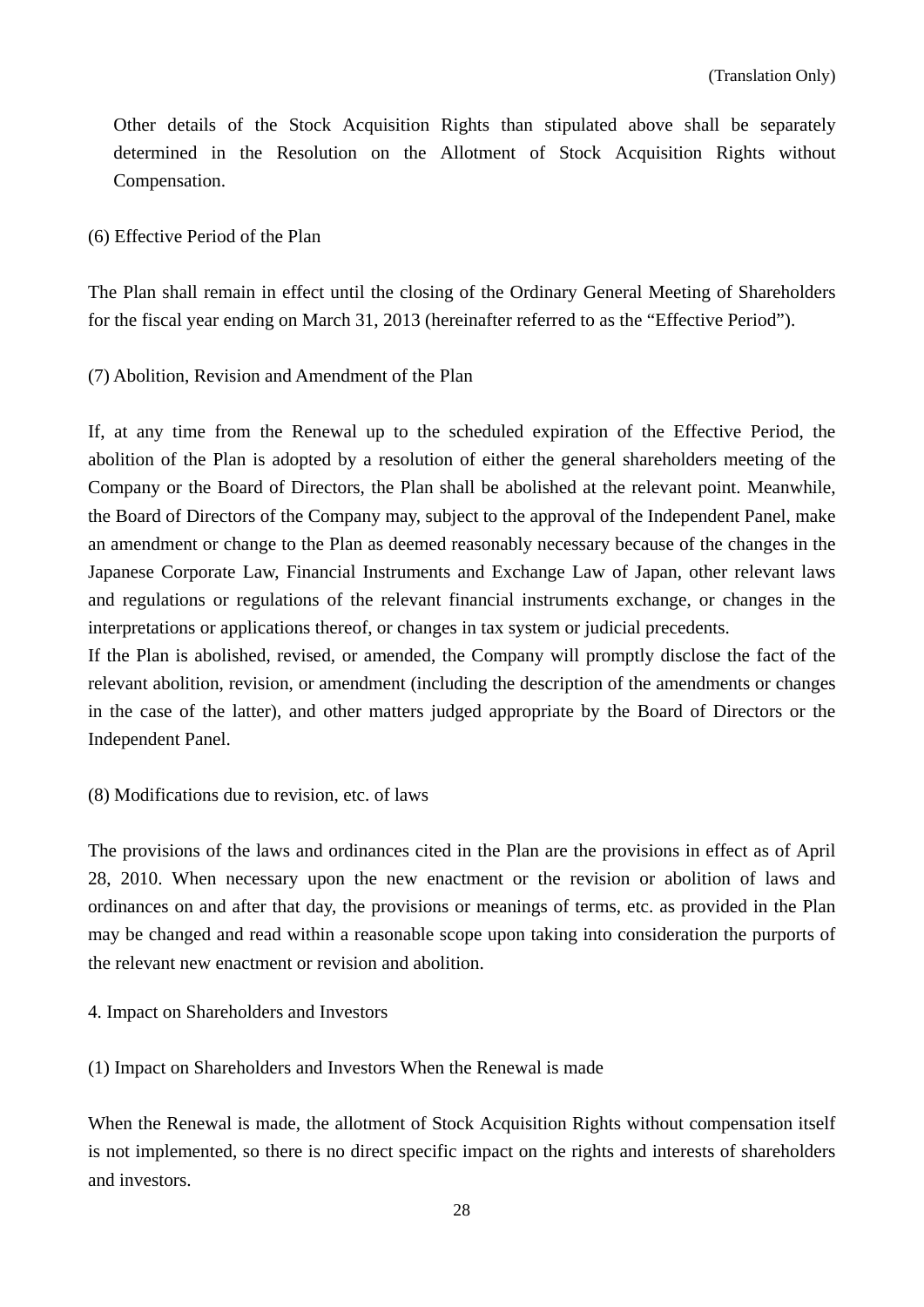Other details of the Stock Acquisition Rights than stipulated above shall be separately determined in the Resolution on the Allotment of Stock Acquisition Rights without Compensation.

#### (6) Effective Period of the Plan

The Plan shall remain in effect until the closing of the Ordinary General Meeting of Shareholders for the fiscal year ending on March 31, 2013 (hereinafter referred to as the "Effective Period").

(7) Abolition, Revision and Amendment of the Plan

If, at any time from the Renewal up to the scheduled expiration of the Effective Period, the abolition of the Plan is adopted by a resolution of either the general shareholders meeting of the Company or the Board of Directors, the Plan shall be abolished at the relevant point. Meanwhile, the Board of Directors of the Company may, subject to the approval of the Independent Panel, make an amendment or change to the Plan as deemed reasonably necessary because of the changes in the Japanese Corporate Law, Financial Instruments and Exchange Law of Japan, other relevant laws and regulations or regulations of the relevant financial instruments exchange, or changes in the interpretations or applications thereof, or changes in tax system or judicial precedents.

If the Plan is abolished, revised, or amended, the Company will promptly disclose the fact of the relevant abolition, revision, or amendment (including the description of the amendments or changes in the case of the latter), and other matters judged appropriate by the Board of Directors or the Independent Panel.

(8) Modifications due to revision, etc. of laws

The provisions of the laws and ordinances cited in the Plan are the provisions in effect as of April 28, 2010. When necessary upon the new enactment or the revision or abolition of laws and ordinances on and after that day, the provisions or meanings of terms, etc. as provided in the Plan may be changed and read within a reasonable scope upon taking into consideration the purports of the relevant new enactment or revision and abolition.

4. Impact on Shareholders and Investors

(1) Impact on Shareholders and Investors When the Renewal is made

When the Renewal is made, the allotment of Stock Acquisition Rights without compensation itself is not implemented, so there is no direct specific impact on the rights and interests of shareholders and investors.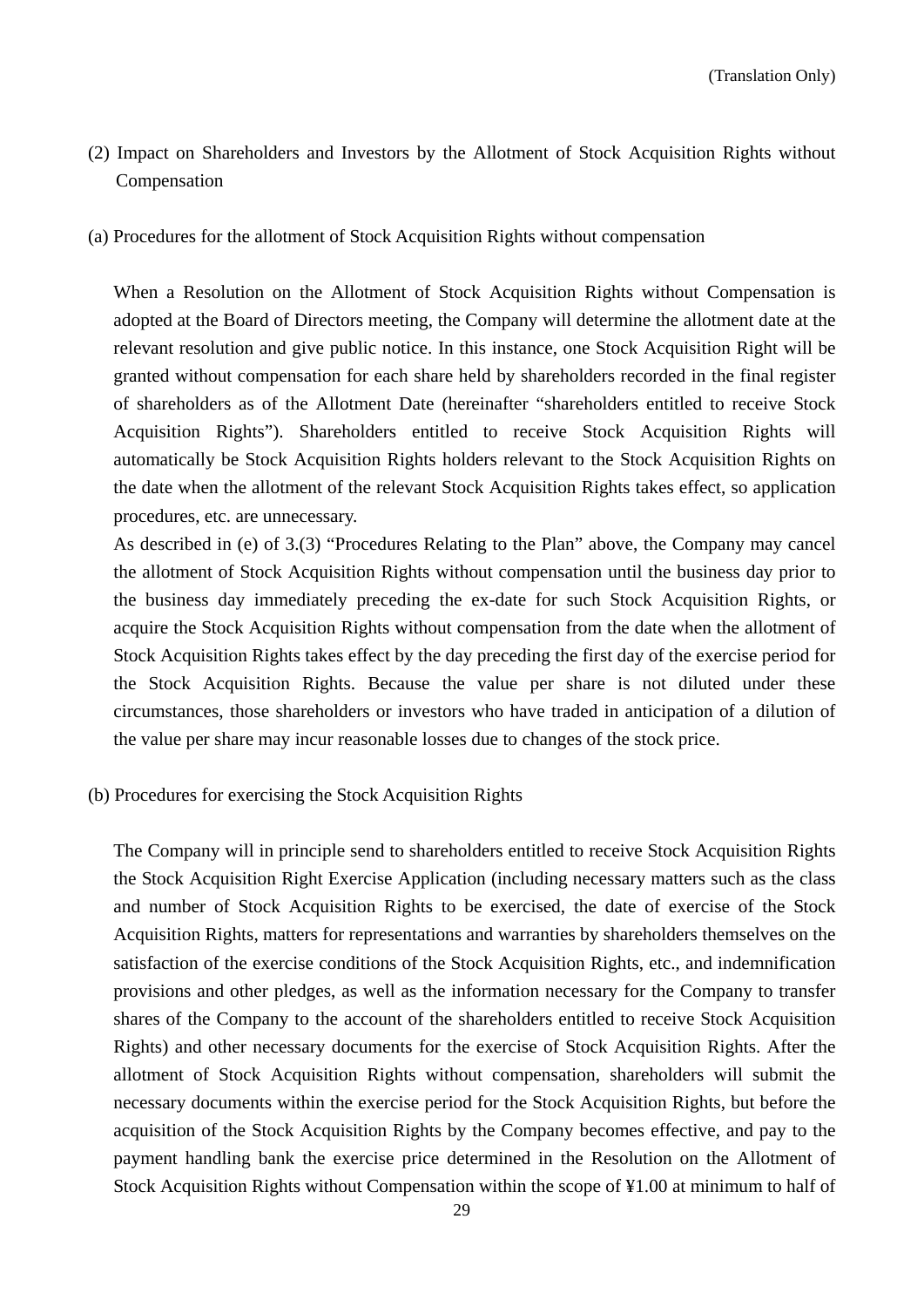- (2) Impact on Shareholders and Investors by the Allotment of Stock Acquisition Rights without Compensation
- (a) Procedures for the allotment of Stock Acquisition Rights without compensation

When a Resolution on the Allotment of Stock Acquisition Rights without Compensation is adopted at the Board of Directors meeting, the Company will determine the allotment date at the relevant resolution and give public notice. In this instance, one Stock Acquisition Right will be granted without compensation for each share held by shareholders recorded in the final register of shareholders as of the Allotment Date (hereinafter "shareholders entitled to receive Stock Acquisition Rights"). Shareholders entitled to receive Stock Acquisition Rights will automatically be Stock Acquisition Rights holders relevant to the Stock Acquisition Rights on the date when the allotment of the relevant Stock Acquisition Rights takes effect, so application procedures, etc. are unnecessary.

As described in (e) of 3.(3) "Procedures Relating to the Plan" above, the Company may cancel the allotment of Stock Acquisition Rights without compensation until the business day prior to the business day immediately preceding the ex-date for such Stock Acquisition Rights, or acquire the Stock Acquisition Rights without compensation from the date when the allotment of Stock Acquisition Rights takes effect by the day preceding the first day of the exercise period for the Stock Acquisition Rights. Because the value per share is not diluted under these circumstances, those shareholders or investors who have traded in anticipation of a dilution of the value per share may incur reasonable losses due to changes of the stock price.

(b) Procedures for exercising the Stock Acquisition Rights

The Company will in principle send to shareholders entitled to receive Stock Acquisition Rights the Stock Acquisition Right Exercise Application (including necessary matters such as the class and number of Stock Acquisition Rights to be exercised, the date of exercise of the Stock Acquisition Rights, matters for representations and warranties by shareholders themselves on the satisfaction of the exercise conditions of the Stock Acquisition Rights, etc., and indemnification provisions and other pledges, as well as the information necessary for the Company to transfer shares of the Company to the account of the shareholders entitled to receive Stock Acquisition Rights) and other necessary documents for the exercise of Stock Acquisition Rights. After the allotment of Stock Acquisition Rights without compensation, shareholders will submit the necessary documents within the exercise period for the Stock Acquisition Rights, but before the acquisition of the Stock Acquisition Rights by the Company becomes effective, and pay to the payment handling bank the exercise price determined in the Resolution on the Allotment of Stock Acquisition Rights without Compensation within the scope of ¥1.00 at minimum to half of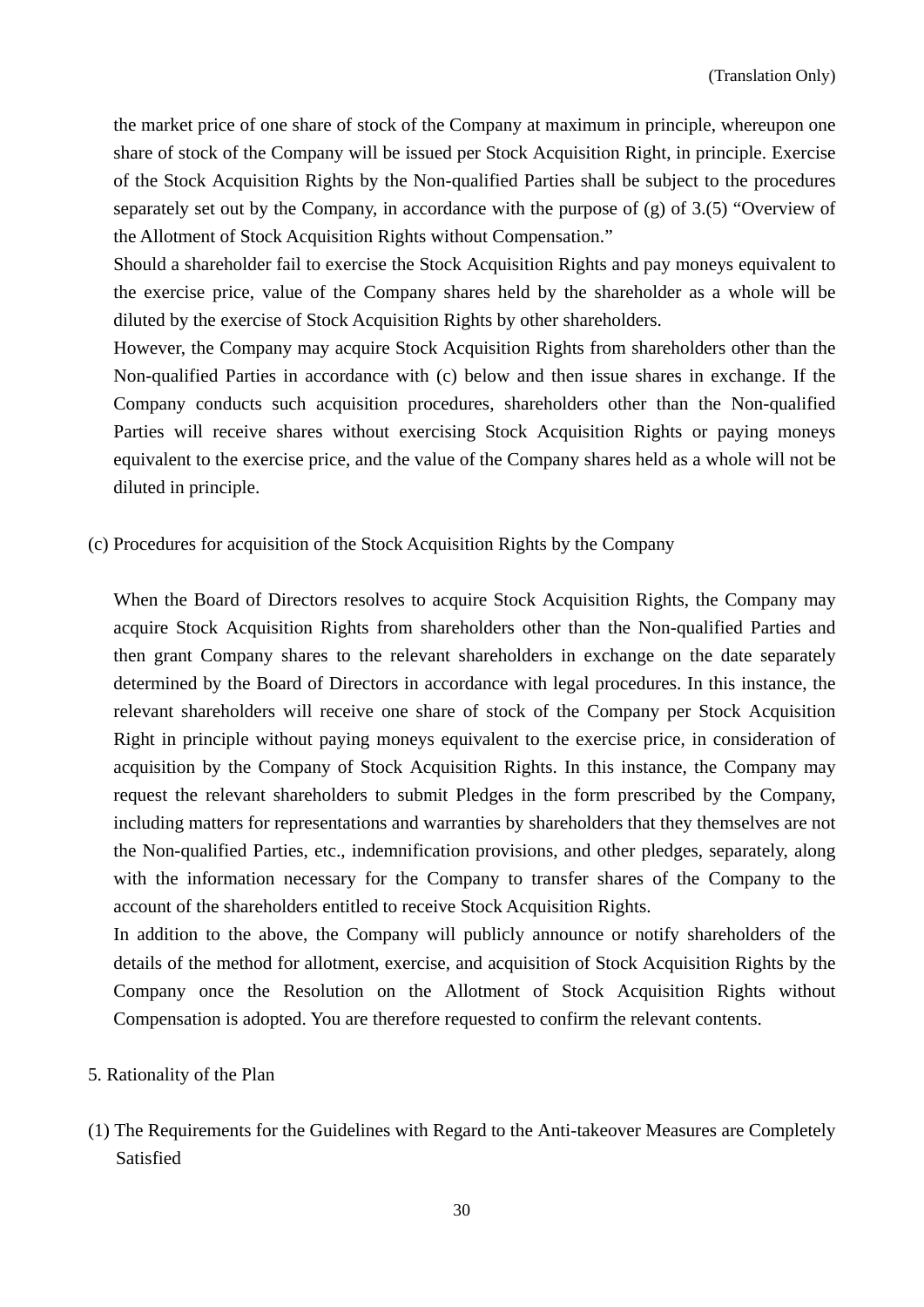the market price of one share of stock of the Company at maximum in principle, whereupon one share of stock of the Company will be issued per Stock Acquisition Right, in principle. Exercise of the Stock Acquisition Rights by the Non-qualified Parties shall be subject to the procedures separately set out by the Company, in accordance with the purpose of  $(g)$  of 3.(5) "Overview of the Allotment of Stock Acquisition Rights without Compensation."

Should a shareholder fail to exercise the Stock Acquisition Rights and pay moneys equivalent to the exercise price, value of the Company shares held by the shareholder as a whole will be diluted by the exercise of Stock Acquisition Rights by other shareholders.

However, the Company may acquire Stock Acquisition Rights from shareholders other than the Non-qualified Parties in accordance with (c) below and then issue shares in exchange. If the Company conducts such acquisition procedures, shareholders other than the Non-qualified Parties will receive shares without exercising Stock Acquisition Rights or paying moneys equivalent to the exercise price, and the value of the Company shares held as a whole will not be diluted in principle.

(c) Procedures for acquisition of the Stock Acquisition Rights by the Company

When the Board of Directors resolves to acquire Stock Acquisition Rights, the Company may acquire Stock Acquisition Rights from shareholders other than the Non-qualified Parties and then grant Company shares to the relevant shareholders in exchange on the date separately determined by the Board of Directors in accordance with legal procedures. In this instance, the relevant shareholders will receive one share of stock of the Company per Stock Acquisition Right in principle without paying moneys equivalent to the exercise price, in consideration of acquisition by the Company of Stock Acquisition Rights. In this instance, the Company may request the relevant shareholders to submit Pledges in the form prescribed by the Company, including matters for representations and warranties by shareholders that they themselves are not the Non-qualified Parties, etc., indemnification provisions, and other pledges, separately, along with the information necessary for the Company to transfer shares of the Company to the account of the shareholders entitled to receive Stock Acquisition Rights.

In addition to the above, the Company will publicly announce or notify shareholders of the details of the method for allotment, exercise, and acquisition of Stock Acquisition Rights by the Company once the Resolution on the Allotment of Stock Acquisition Rights without Compensation is adopted. You are therefore requested to confirm the relevant contents.

- 5. Rationality of the Plan
- (1) The Requirements for the Guidelines with Regard to the Anti-takeover Measures are Completely Satisfied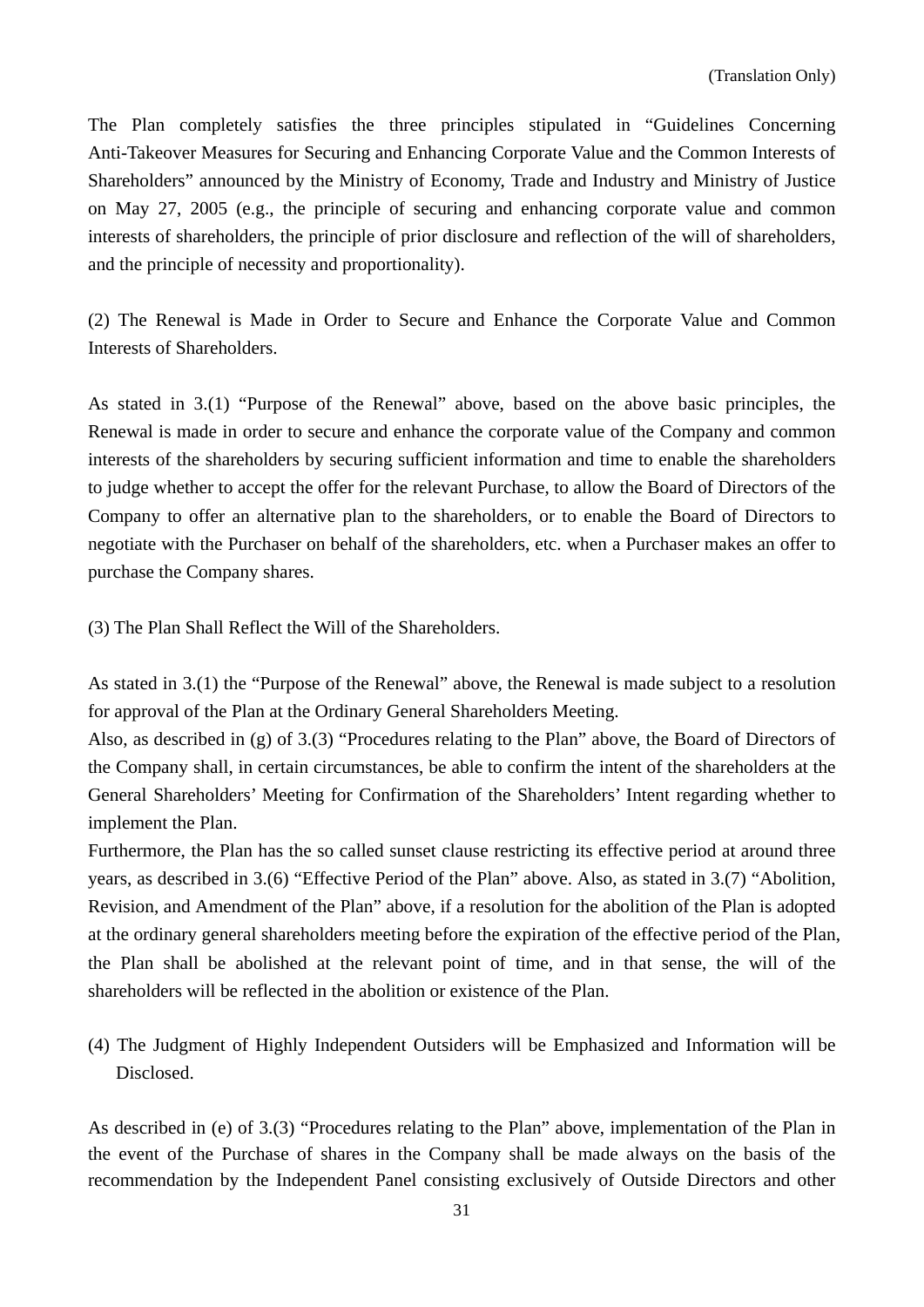The Plan completely satisfies the three principles stipulated in "Guidelines Concerning Anti-Takeover Measures for Securing and Enhancing Corporate Value and the Common Interests of Shareholders" announced by the Ministry of Economy, Trade and Industry and Ministry of Justice on May 27, 2005 (e.g., the principle of securing and enhancing corporate value and common interests of shareholders, the principle of prior disclosure and reflection of the will of shareholders, and the principle of necessity and proportionality).

(2) The Renewal is Made in Order to Secure and Enhance the Corporate Value and Common Interests of Shareholders.

As stated in 3.(1) "Purpose of the Renewal" above, based on the above basic principles, the Renewal is made in order to secure and enhance the corporate value of the Company and common interests of the shareholders by securing sufficient information and time to enable the shareholders to judge whether to accept the offer for the relevant Purchase, to allow the Board of Directors of the Company to offer an alternative plan to the shareholders, or to enable the Board of Directors to negotiate with the Purchaser on behalf of the shareholders, etc. when a Purchaser makes an offer to purchase the Company shares.

(3) The Plan Shall Reflect the Will of the Shareholders.

As stated in 3.(1) the "Purpose of the Renewal" above, the Renewal is made subject to a resolution for approval of the Plan at the Ordinary General Shareholders Meeting.

Also, as described in (g) of 3.(3) "Procedures relating to the Plan" above, the Board of Directors of the Company shall, in certain circumstances, be able to confirm the intent of the shareholders at the General Shareholders' Meeting for Confirmation of the Shareholders' Intent regarding whether to implement the Plan.

Furthermore, the Plan has the so called sunset clause restricting its effective period at around three years, as described in 3.(6) "Effective Period of the Plan" above. Also, as stated in 3.(7) "Abolition, Revision, and Amendment of the Plan" above, if a resolution for the abolition of the Plan is adopted at the ordinary general shareholders meeting before the expiration of the effective period of the Plan, the Plan shall be abolished at the relevant point of time, and in that sense, the will of the shareholders will be reflected in the abolition or existence of the Plan.

(4) The Judgment of Highly Independent Outsiders will be Emphasized and Information will be Disclosed.

As described in (e) of 3.(3) "Procedures relating to the Plan" above, implementation of the Plan in the event of the Purchase of shares in the Company shall be made always on the basis of the recommendation by the Independent Panel consisting exclusively of Outside Directors and other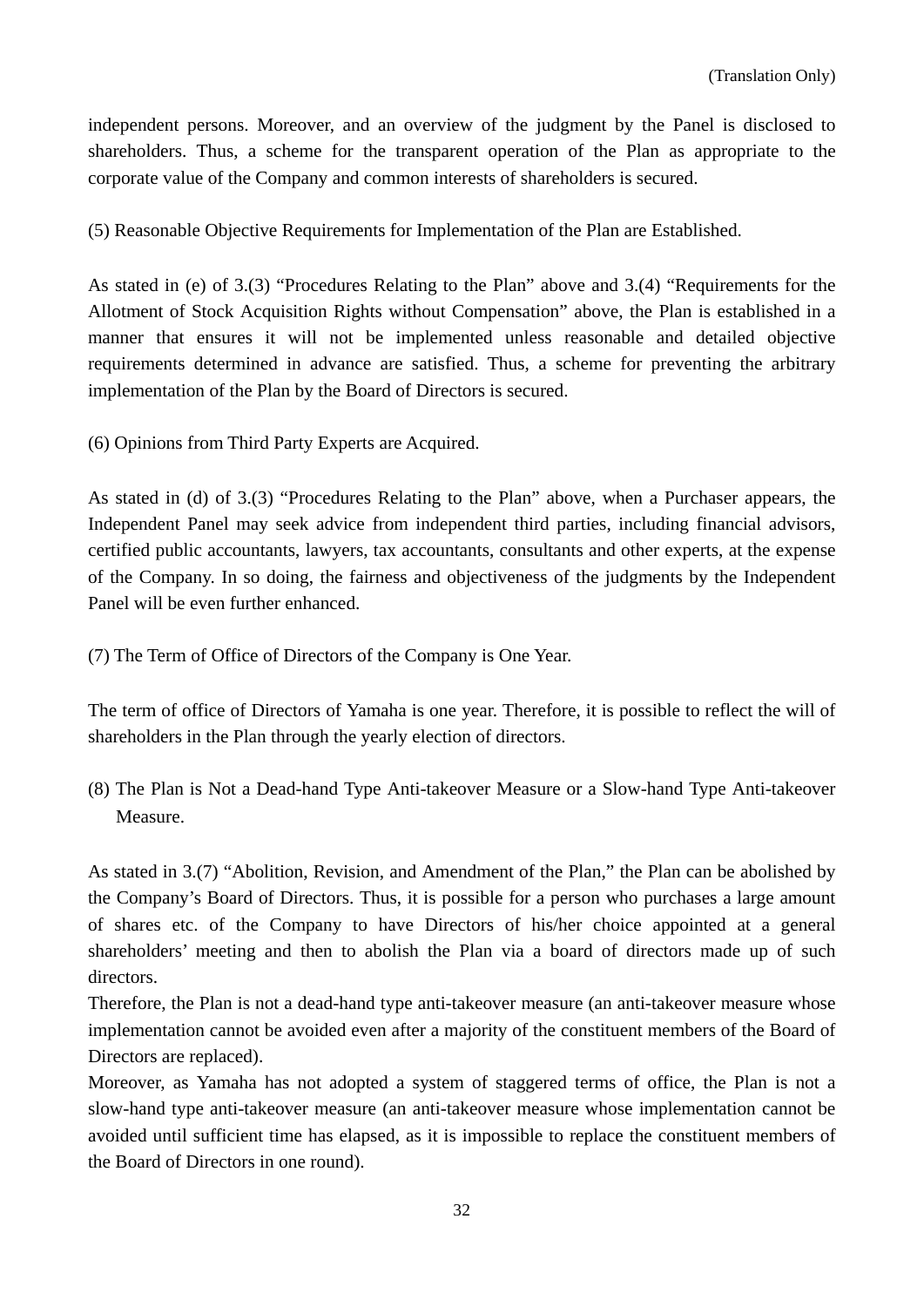independent persons. Moreover, and an overview of the judgment by the Panel is disclosed to shareholders. Thus, a scheme for the transparent operation of the Plan as appropriate to the corporate value of the Company and common interests of shareholders is secured.

(5) Reasonable Objective Requirements for Implementation of the Plan are Established.

As stated in (e) of 3.(3) "Procedures Relating to the Plan" above and 3.(4) "Requirements for the Allotment of Stock Acquisition Rights without Compensation" above, the Plan is established in a manner that ensures it will not be implemented unless reasonable and detailed objective requirements determined in advance are satisfied. Thus, a scheme for preventing the arbitrary implementation of the Plan by the Board of Directors is secured.

(6) Opinions from Third Party Experts are Acquired.

As stated in (d) of 3.(3) "Procedures Relating to the Plan" above, when a Purchaser appears, the Independent Panel may seek advice from independent third parties, including financial advisors, certified public accountants, lawyers, tax accountants, consultants and other experts, at the expense of the Company. In so doing, the fairness and objectiveness of the judgments by the Independent Panel will be even further enhanced.

(7) The Term of Office of Directors of the Company is One Year.

The term of office of Directors of Yamaha is one year. Therefore, it is possible to reflect the will of shareholders in the Plan through the yearly election of directors.

(8) The Plan is Not a Dead-hand Type Anti-takeover Measure or a Slow-hand Type Anti-takeover Measure.

As stated in 3.(7) "Abolition, Revision, and Amendment of the Plan," the Plan can be abolished by the Company's Board of Directors. Thus, it is possible for a person who purchases a large amount of shares etc. of the Company to have Directors of his/her choice appointed at a general shareholders' meeting and then to abolish the Plan via a board of directors made up of such directors.

Therefore, the Plan is not a dead-hand type anti-takeover measure (an anti-takeover measure whose implementation cannot be avoided even after a majority of the constituent members of the Board of Directors are replaced).

Moreover, as Yamaha has not adopted a system of staggered terms of office, the Plan is not a slow-hand type anti-takeover measure (an anti-takeover measure whose implementation cannot be avoided until sufficient time has elapsed, as it is impossible to replace the constituent members of the Board of Directors in one round).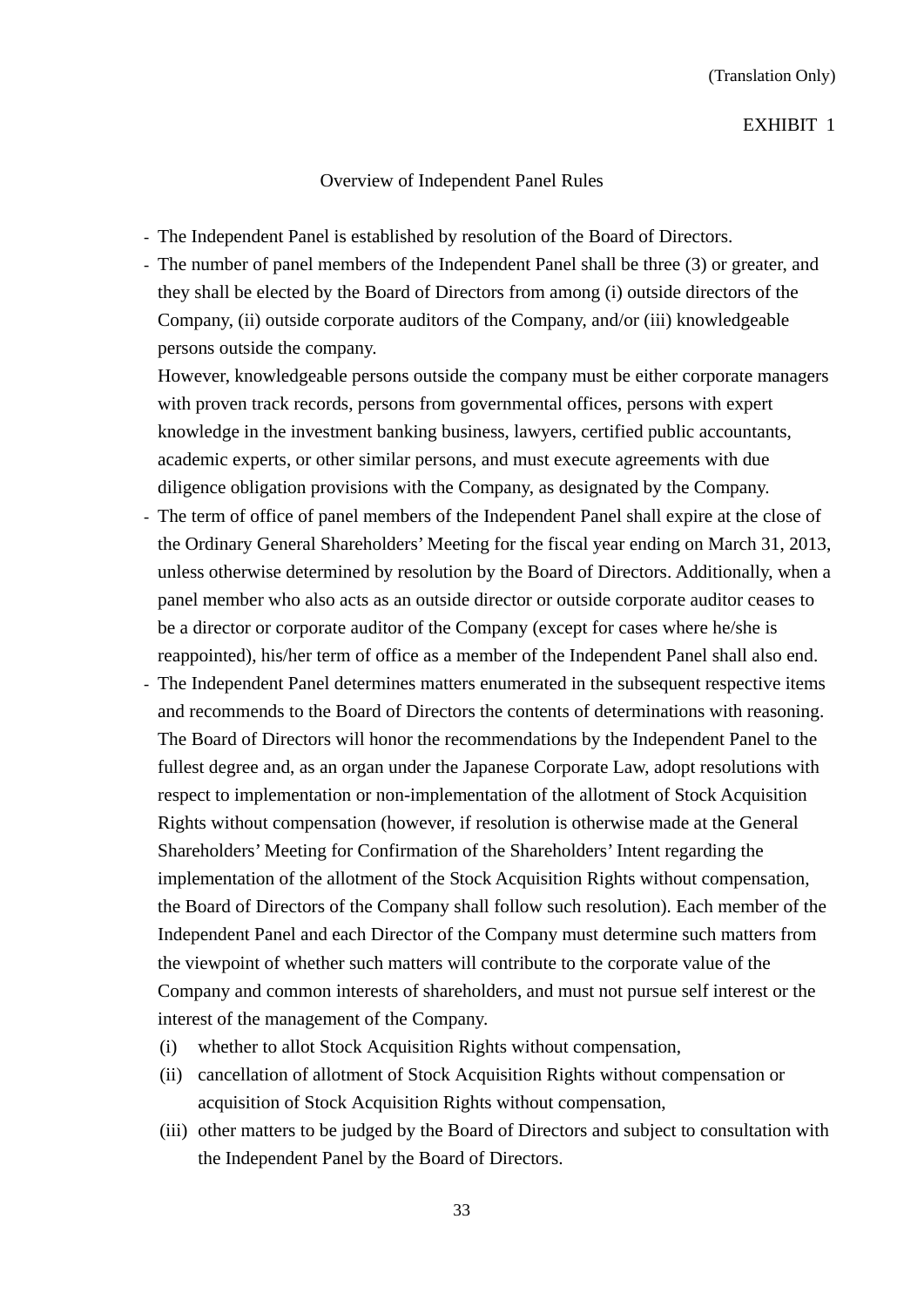#### Overview of Independent Panel Rules

- The Independent Panel is established by resolution of the Board of Directors.
- The number of panel members of the Independent Panel shall be three (3) or greater, and they shall be elected by the Board of Directors from among (i) outside directors of the Company, (ii) outside corporate auditors of the Company, and/or (iii) knowledgeable persons outside the company.

However, knowledgeable persons outside the company must be either corporate managers with proven track records, persons from governmental offices, persons with expert knowledge in the investment banking business, lawyers, certified public accountants, academic experts, or other similar persons, and must execute agreements with due diligence obligation provisions with the Company, as designated by the Company.

- The term of office of panel members of the Independent Panel shall expire at the close of the Ordinary General Shareholders' Meeting for the fiscal year ending on March 31, 2013, unless otherwise determined by resolution by the Board of Directors. Additionally, when a panel member who also acts as an outside director or outside corporate auditor ceases to be a director or corporate auditor of the Company (except for cases where he/she is reappointed), his/her term of office as a member of the Independent Panel shall also end.
- The Independent Panel determines matters enumerated in the subsequent respective items and recommends to the Board of Directors the contents of determinations with reasoning. The Board of Directors will honor the recommendations by the Independent Panel to the fullest degree and, as an organ under the Japanese Corporate Law, adopt resolutions with respect to implementation or non-implementation of the allotment of Stock Acquisition Rights without compensation (however, if resolution is otherwise made at the General Shareholders' Meeting for Confirmation of the Shareholders' Intent regarding the implementation of the allotment of the Stock Acquisition Rights without compensation, the Board of Directors of the Company shall follow such resolution). Each member of the Independent Panel and each Director of the Company must determine such matters from the viewpoint of whether such matters will contribute to the corporate value of the Company and common interests of shareholders, and must not pursue self interest or the interest of the management of the Company.
	- (i) whether to allot Stock Acquisition Rights without compensation,
	- (ii) cancellation of allotment of Stock Acquisition Rights without compensation or acquisition of Stock Acquisition Rights without compensation,
	- (iii) other matters to be judged by the Board of Directors and subject to consultation with the Independent Panel by the Board of Directors.

33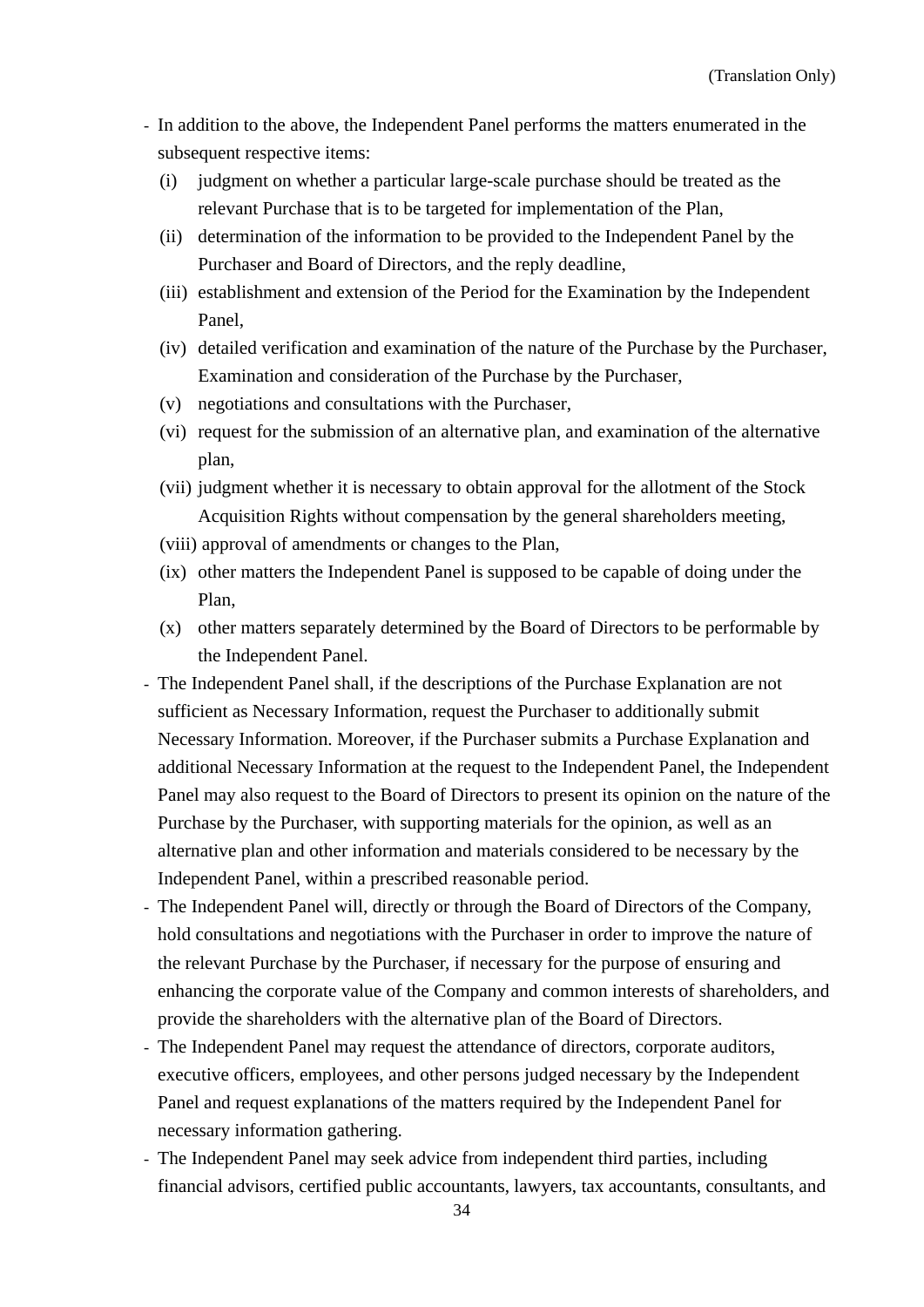- In addition to the above, the Independent Panel performs the matters enumerated in the subsequent respective items:
	- (i) judgment on whether a particular large-scale purchase should be treated as the relevant Purchase that is to be targeted for implementation of the Plan,
	- (ii) determination of the information to be provided to the Independent Panel by the Purchaser and Board of Directors, and the reply deadline,
	- (iii) establishment and extension of the Period for the Examination by the Independent Panel,
	- (iv) detailed verification and examination of the nature of the Purchase by the Purchaser, Examination and consideration of the Purchase by the Purchaser,
	- (v) negotiations and consultations with the Purchaser,
	- (vi) request for the submission of an alternative plan, and examination of the alternative plan,
	- (vii) judgment whether it is necessary to obtain approval for the allotment of the Stock Acquisition Rights without compensation by the general shareholders meeting,
	- (viii) approval of amendments or changes to the Plan,
	- (ix) other matters the Independent Panel is supposed to be capable of doing under the Plan,
	- (x) other matters separately determined by the Board of Directors to be performable by the Independent Panel.
- The Independent Panel shall, if the descriptions of the Purchase Explanation are not sufficient as Necessary Information, request the Purchaser to additionally submit Necessary Information. Moreover, if the Purchaser submits a Purchase Explanation and additional Necessary Information at the request to the Independent Panel, the Independent Panel may also request to the Board of Directors to present its opinion on the nature of the Purchase by the Purchaser, with supporting materials for the opinion, as well as an alternative plan and other information and materials considered to be necessary by the Independent Panel, within a prescribed reasonable period.
- The Independent Panel will, directly or through the Board of Directors of the Company, hold consultations and negotiations with the Purchaser in order to improve the nature of the relevant Purchase by the Purchaser, if necessary for the purpose of ensuring and enhancing the corporate value of the Company and common interests of shareholders, and provide the shareholders with the alternative plan of the Board of Directors.
- The Independent Panel may request the attendance of directors, corporate auditors, executive officers, employees, and other persons judged necessary by the Independent Panel and request explanations of the matters required by the Independent Panel for necessary information gathering.
- The Independent Panel may seek advice from independent third parties, including financial advisors, certified public accountants, lawyers, tax accountants, consultants, and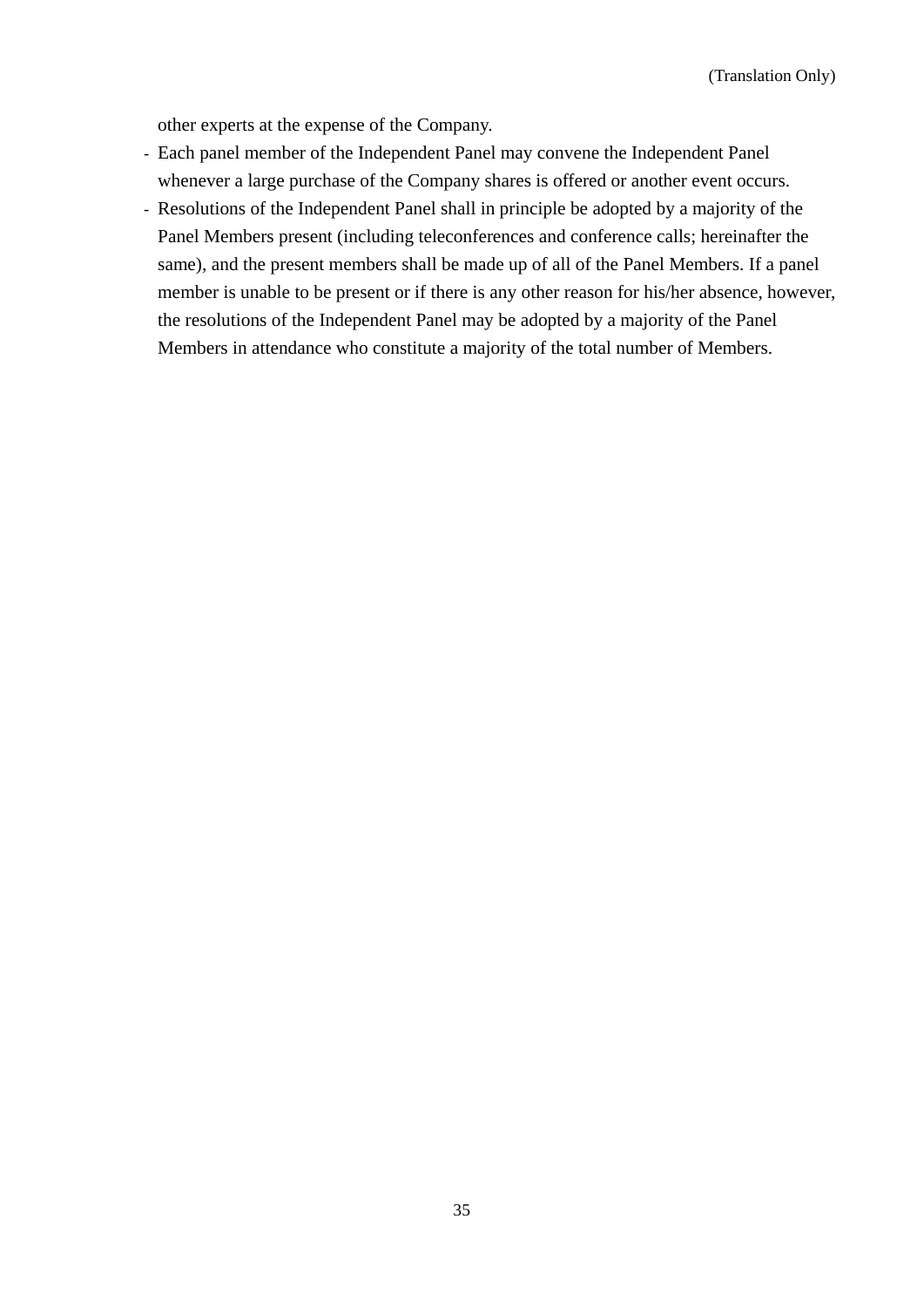other experts at the expense of the Company.

- Each panel member of the Independent Panel may convene the Independent Panel whenever a large purchase of the Company shares is offered or another event occurs.
- Resolutions of the Independent Panel shall in principle be adopted by a majority of the Panel Members present (including teleconferences and conference calls; hereinafter the same), and the present members shall be made up of all of the Panel Members. If a panel member is unable to be present or if there is any other reason for his/her absence, however, the resolutions of the Independent Panel may be adopted by a majority of the Panel Members in attendance who constitute a majority of the total number of Members.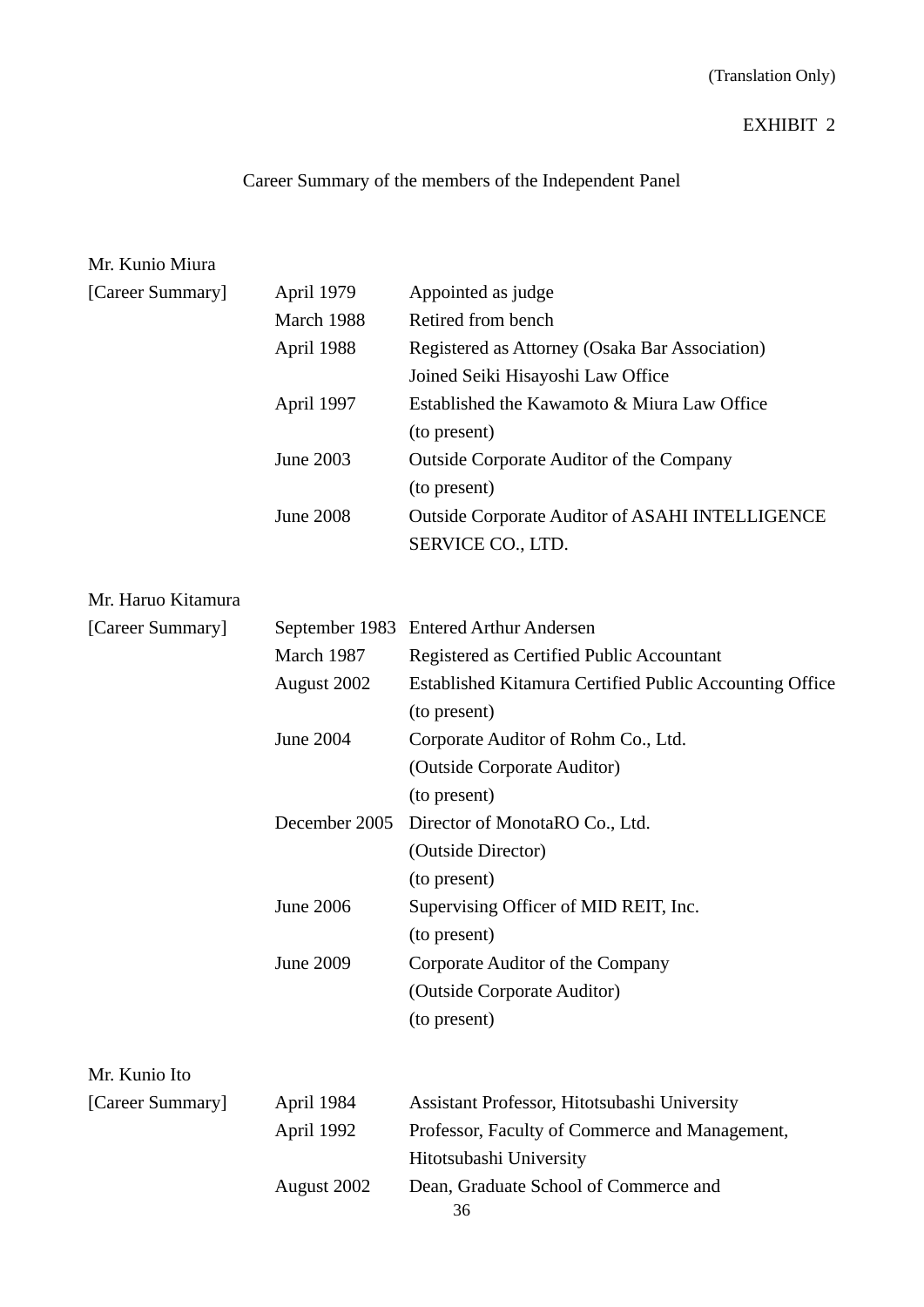# (Translation Only)

# EXHIBIT 2

# Career Summary of the members of the Independent Panel

# Mr. Kunio Miura

| [Career Summary]   | April 1979       | Appointed as judge                                      |
|--------------------|------------------|---------------------------------------------------------|
|                    | March 1988       | Retired from bench                                      |
|                    | April 1988       | Registered as Attorney (Osaka Bar Association)          |
|                    |                  | Joined Seiki Hisayoshi Law Office                       |
|                    | April 1997       | Established the Kawamoto & Miura Law Office             |
|                    |                  | (to present)                                            |
|                    | June 2003        | <b>Outside Corporate Auditor of the Company</b>         |
|                    |                  | (to present)                                            |
|                    | <b>June 2008</b> | <b>Outside Corporate Auditor of ASAHI INTELLIGENCE</b>  |
|                    |                  | SERVICE CO., LTD.                                       |
| Mr. Haruo Kitamura |                  |                                                         |
| [Career Summary]   |                  | September 1983 Entered Arthur Andersen                  |
|                    | March 1987       | Registered as Certified Public Accountant               |
|                    | August 2002      | Established Kitamura Certified Public Accounting Office |
|                    |                  | (to present)                                            |
|                    | June 2004        | Corporate Auditor of Rohm Co., Ltd.                     |
|                    |                  | (Outside Corporate Auditor)                             |
|                    |                  | (to present)                                            |
|                    | December 2005    | Director of MonotaRO Co., Ltd.                          |
|                    |                  | (Outside Director)                                      |
|                    |                  | (to present)                                            |
|                    | June 2006        | Supervising Officer of MID REIT, Inc.                   |
|                    |                  | (to present)                                            |
|                    | <b>June 2009</b> | Corporate Auditor of the Company                        |
|                    |                  | (Outside Corporate Auditor)                             |
|                    |                  | (to present)                                            |
| Mr. Kunio Ito      |                  |                                                         |
| [Career Summary]   | April 1984       | Assistant Professor, Hitotsubashi University            |
|                    | April 1992       | Professor, Faculty of Commerce and Management,          |
|                    |                  | Hitotsubashi University                                 |
|                    | August 2002      | Dean, Graduate School of Commerce and<br>36             |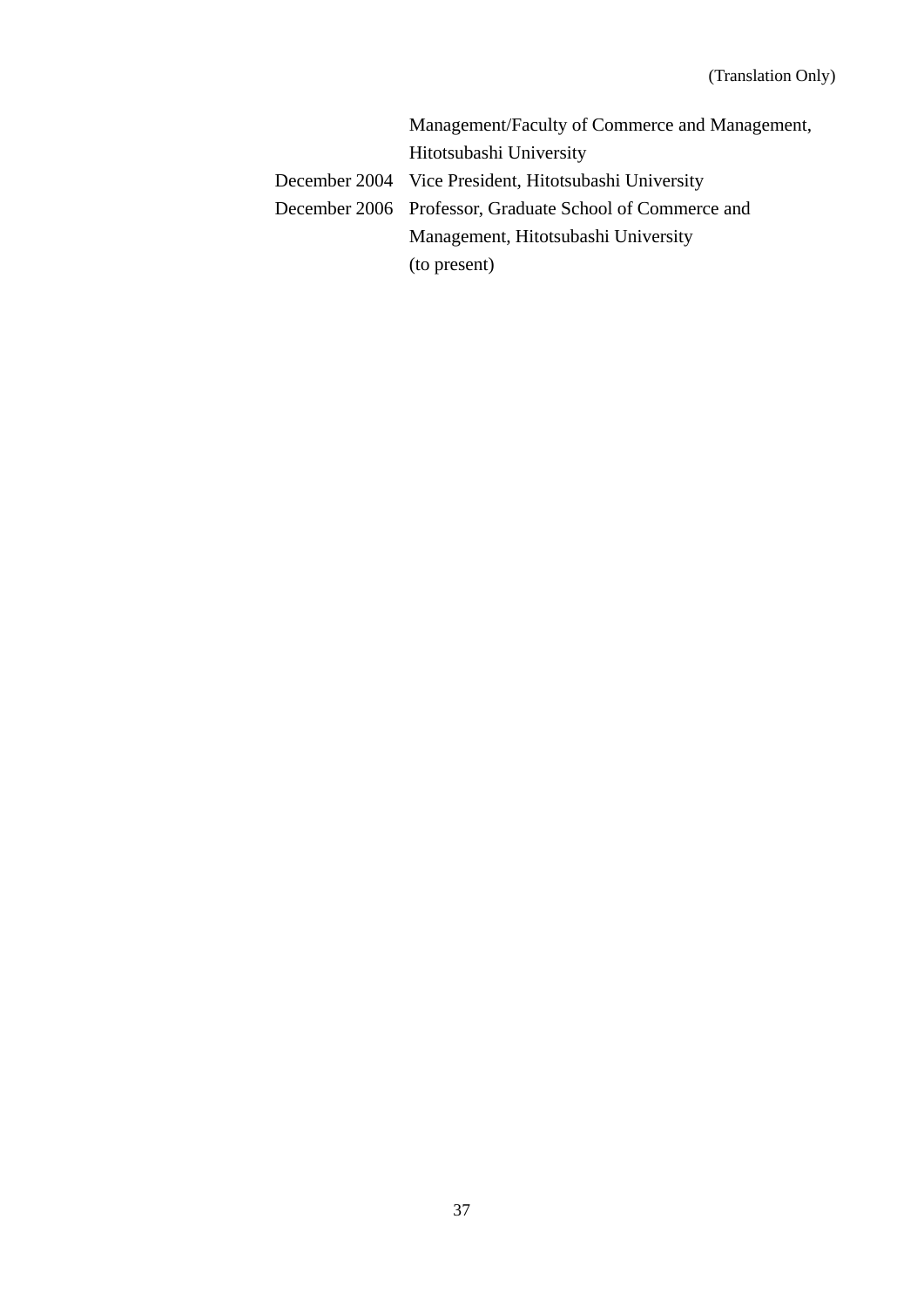| Management/Faculty of Commerce and Management,           |
|----------------------------------------------------------|
| Hitotsubashi University                                  |
| December 2004 Vice President, Hitotsubashi University    |
| December 2006 Professor, Graduate School of Commerce and |
| Management, Hitotsubashi University                      |
| (to present)                                             |